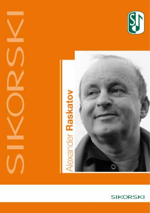





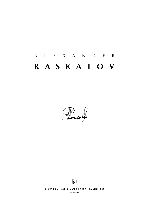# a l e x a n d e r **r a s k a t o v**

Partner



**SIKORSKI MUSIKVERLAGE HAMBURG sik 4/5648**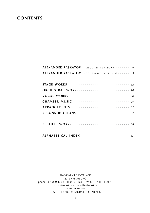### **contents**

| <b>ALEXANDER RASKATOV</b> | $(ENGLISH VERSION)$ 6                     |  |
|---------------------------|-------------------------------------------|--|
| ALEXANDER RASKATOV        | $(DEFUTSCHE$ FASSUNG) $\cdots$ $\cdots$ 9 |  |
|                           |                                           |  |
|                           |                                           |  |
|                           |                                           |  |
|                           |                                           |  |
|                           |                                           |  |
|                           |                                           |  |
|                           |                                           |  |
|                           |                                           |  |
|                           |                                           |  |
|                           |                                           |  |
|                           |                                           |  |

sikorski Musikverlage 20139 hamburg phone: (+ 49) (0)40 / 41 41 00-0 · fax: (+ 49) (0)40 / 41 41 00-41 www.sikorski.de · contact@sikorski.de **19 s e p t e m b e r 2019** cover photo © laura luostarinen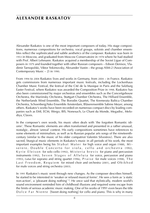### **alexander raskatov**

Alexander Raskatov is one of the most important composers of today. His stage compositions, numerous compositions for orchestra, vocal groups, soloists and chamber ensembles reflect the sophisticated and subtle aesthetics of the composer. Raskatov was born in 1953 in Moscow, and graduated from Moscow Conservatoire in 1978 where he had studied with Prof. Albert Lehmann. Raskatov acquired a membership of the Soviet Ligue of Composers in 1979 and founded together with other Russian composers – Edison Denisov, Vladimir Tarnopolski, Viktor Yekimovsky, Alexander Vustin – the group ASM-2 (Association of Contemporary Music – 2) in 1990.

From 1994 to 2004 Raskatov lives and works in Germany, from 2004 – in France. Raskatov gets commissions from numerous important music festivals, including the Lockenhaus Chamber Music Festival, the festival of the Cité de la Musique in Paris and the Salzburg Easter Festival, where Raskatov was awarded the Composition Prize in 1998. Raskatov has also been commissioned by major orchestras and ensembles such as the Concertgebouw Orchestra, the Mariinsky Orchestra, Stuttgart Chamber Orchestra, The Hilliard Ensemble, the Netherlands Wind Ensemble, The Borodin Quartet, The Kremerata Baltica Chamber Orchestra, Schoenberg/Asko Ensemble Amsterdam, Bläserensemble Sabine Meyer, among others. Raskatov's works have been recorded on numerous compact discs by leading companies such as EMI, ECM, Wergo, BIS, Nonesuch, Le Chant du Monde, Megadisc, Melodiya, Claves.

In the composer's own words, his music often deals with 'the forgotten Romantic idioms'. These Romantic elements are often transformed and presented in a rather unusual, nostalgic, almost 'unreal' context. His early compositions sometimes have references to some elements of minimalism, as well as to Russian popular arts songs of the nineteenthcentury (similar to the music of his older compatriot Valentin Silvestrov). There are also sacred, liturgical music elements in Raskatov's music in all periods of his work, the most important examples being his Stabat Mater for high voice and organ (1988), Miserere, Double Concerto for viola, cello and orchestra (1992), Kyrie Eleison for solo cello (1992), Misteria brevis for piano and percussion instruments (1992), Seven Stages of Alleluia for voice, percussion and piano (1993), Gebet for soprano and string quartet (1996), Praise for male voices (1998), The Last Freedom, Requiem for mixed choir and orchestra (2001), and Obikhod for male voices and string orchestra (2003).

In 1991 Raskatov's music went through new changes. As the composer describes himself, he started to be interested in 'weaker or relaxed musical forms'. He sees a form as 'a static non-action', a 'pleasant doing nothing' **<sup>1</sup>** . He once said that stylistically, modern world's sound environment reminded him of childhood illusions and required some escape from the limits of serious academic music making. One of his works of 1991 even bears the title D o I c e F a r N i e n t e [Sweet doing nothing] for cello and piano. This is why in many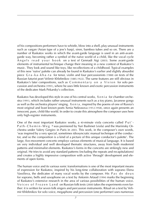of his compositions performers have to whistle, blow into a shell, play unusual instruments such as vargan (Asian type of a jew's harp), siren, bamboo tubes and so on. There are a number of Raskatov works in which the avant-garde language is used in an anti-avantgarde way, becoming rather a symbol of the naïve world of a child, like the vocal cycle  $\overline{A}$ n g e l s r e a d your book on a text of Gennadi Aigi (2003). Some avant-garde elements of instrumental technique change their meaning in a new context of Raskatov's music. They look and sound like toys, like recollections of a childhood. Typical examples of this new 'naïve' palette can already be found in Raskatov's earlier and slightly absurdist piece G r a - k a - k h a - t a for tenor, violin and four percussionists (1988) on texts of the Russian futurist poet Velimir Khlebnikov (1885-1922). The same features are still obvious in Raskatov's later compositions, such as Commentary on a Vision for solo percussion and orchestra (1991), where he uses little known and exotic percussion instruments of the dedicatee Mark Pekarsky's collection.

Raskatov has developed this style in one of his central works, X e n i a for chamber orchestra (1991), which includes rather unusual instruments such as a toy piano, Javanese gongs as well as the orchestra players' singing. X e n i a, inspired by the poems of one of Russia's most original and least known poets Xenia Nekrasova (1912-1958), once again presents an innocent, pure, child-like world. In order to create this atmosphere the composer uses here only high-register instruments.

One of the most important Raskatov works, a 40-minute viola concerto called P u t ' - P a t h - C h e m i n - W e g **²** was premiered by Yuri Bashmet (viola) and the Mariinsky Orchestra under Valery Gergiev in Paris in 2003. This work, in the composer's own words, 'was inspired by a very special, sometimes idiosyncratic manual technique of the conductor, and so the composition is a kind of a picture of this unique conductor's palette'. The large, five-movement concerto employs various elements of musical language. It is based on very individual and well developed thematic structures, away from both modernist patterns and minimalist elements. Raskatov's forms in the concerto are strikingly new and original. He tries to avoid any standard patterns (including the repeats and recapitulations) and creates a highly impressive composition with active 'through' development and elements of open forms.

The human voice and its various sonic transformations is one of the most important means of expression for Raskatov, inspired by his long-time collaboration with soprano Elena Vassilieva, the dedicatee of many vocal works by the composer. His P as de deux for soprano, bells and saxophone on a text by Antonin Artaud (1994) marks the beginning of Raskatov's extensive research in the area of various possibilities of the human voice. Voices of Frozen Land on Russian folk texts (2000) takes the experiments even further: it is written for seven folk singers and percussion instruments. Ritual on a text by Velimir Khlebnikov for solo voice, megaphone and percussion (one performer) uses numerous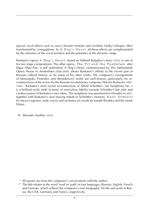special vocal effects such as rauco (hoarse) tremolo and scrollato (shaky) whisper, often transformed by a megaphone. In A D o g's H e a r t all these effects are complemented by the extremes of the vocal tessitura and the polarities of the dynamic range.

Raskatov's opera A D o g's H e a r t, based on Mikhail Bulgakov's story (1925), is one of his two stage compositions. The other opera, The Pit and the Pendulum after Edgar Allan Poe, is still unfinished. A Dog's Heart, commissioned by The Netherlands Opera House in Amsterdam (2008-2009), shows Raskatov's affinity to the recent past of Russian cultural history, as do many of his other works. The composer's arrangements of Mussorgsky, Prokofiev and Shostakovich works are well-known, particularly his reconstructions of the scores by the Russian revolutionary composer Nikolai Roslavets (1881- 1944). Raskatov's most recent reconstruction of Alfred Schnittke's last Symphony No. 9 is a brilliant work, both in terms of meticulous fidelity towards Schnittke's late style and creative power of Raskatov's own ideas. The symphony was premiered in Dresden in 2007, together with Raskatov's own moving tribute to Schnittke's memory, Nunc Dimittis for mezzo-soprano, male voices and orchestra on words by Joseph Brodsky and the monk Siluan.

© *Alexander Ivashkin,* 2010

**1** All quotes are from the composers' conversations with the author.

**2** The title relates to the word 'road' or 'path' in four languages: Russian, English, French and German, which reflects the composer's own biography: his life and work in Russia, the USA, Germany and France, respectively.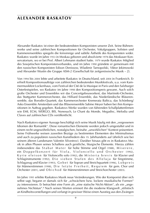### **alexander raskatov**

Alexander Raskatov ist einer der bedeutendsten Komponisten unserer Zeit. Seine Bühnenwerke und seine zahlreichen Kompositionen für Orchester, Vokalgruppen, Solisten und Kammerensembles spiegeln die feinsinnige und subtile Ästhetik des Komponisten wider. Raskatov wurde im Jahre 1953 in Moskau geboren und absolvierte 1978 das Moskauer Konservatorium, wo er bei Prof. Albert Lehmann studiert hatte. 1979 wurde Raskatov Mitglied des Sowjetischen Komponistenverbandes, und im Jahre 1990 gründete er gemeinsam mit den russischen Komponisten Edison Denissow, Wladimir Tarnopolski, Viktor Jekimowski und Alexander Wustin die Gruppe ASM-2 (Gesellschaft für zeitgenössische Musik – 2).

Von 1994 bis 2004 lebte und arbeitete Raskatov in Deutschland, seit 2004 in Frankreich. Er erhielt Kompositionsaufträge von zahlreichen bedeutenden Musikfestivals, u.a. vom Kammermusikfest Lockenhaus, vom Festival der Cité de la Musique in Paris und den Salzburger Osterfestspielen, wo Raskatov im Jahre 1998 den Kompositionspreis gewann. Auch solch große Orchester und Ensembles wir das Concertgebouworkest, das Mariinski-Orchester, das Stuttgarter Kammerorchester, das Hilliard Ensemble, das Niederländische Bläserensemble, das Borodin-Quartett, das Kammerorchester Kremerata Baltica, das Schönberg/ Asko Ensemble Amsterdam und das Bläserensemble Sabine Meyer haben bei ihm Kompositionen in Auftrag gegeben. Raskatovs Werke wurden von führenden Schallplattenfirmen wie EMI, ECM, WERGO, BIS, Nonesuch, Le Chant du Monde, Megadisc, Melodia und Claves auf zahlreichen CDs veröffentlicht.

Nach Raskatovs eigener Aussage beschäftigt sich seine Musik häufig mit den "vergessenen Idiomen der Romantik". Diese romantischen Elemente werden jedoch umgestaltet und in einem recht ungewöhnlichen, nostalgischen, beinahe "unwirklichen" Kontext präsentiert. Seine Frühwerke weisen zuweilen Bezüge zu bestimmten Elementen des Minimalismus und auch zu populären russischen Kunstliedern des 19. Jahrhunderts auf (ähnlich wie bei seinem älteren Landsmann Valentin Silvestrov). Darüber hinaus gibt es in Raskatovs Musik in allen Phasen seines Schaffens auch geistliche, liturgische Elemente. Hierzu zählen insbesondere das Stabat Mater für hohe Stimme und Orgel (1988), Miserere, ein Doppelkonzert für Viola, Violoncello und Orchester (1992), K y rie eleison für Violoncello solo (1992), die M isteria brevis für Klavier und Schlaginstrumente (1992), Die sieben Stufen des Alleluja für Singstimme, Schlagzeug und Klavier (1993), G e b e t für Sopran und Streichquartett (1996), L o b p r e i s für Männerstimmen (1998), Die letzte Freiheit, Requiem für gem. Chor und Orchester (2001), und O b i c h o d für Männerstimmen und Streichorchester (2003).

Im Jahre 1991 erlebte Raskatovs Musik neue Veränderungen. Wie der Komponist über sich selbst sagt, begann er damals sich für "schwächere bzw. lockere musikalische Formen" zu interessieren. Er betrachtet eine Form als "eine statische Nicht-Aktion", als ein "angenehmes Nichtstun".<sup>1</sup> Nach seinen Worten erinnert ihn die moderne Klangwelt "stilistisch an Kindheitsvorstellungen und verlangt in gewisser Weise einen Ausstieg aus den Zwängen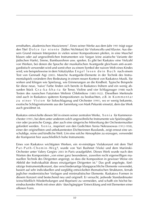ernsthaften, akademischen Musizierens". Eines seiner Werke aus dem Jahr 1991 trägt sogar den Titel Dolce far niente [Süßes Nichtstun] für Violoncello und Klavier. Aus diesem Grund müssen Interpreten in vielen seiner Kompositionen pfeifen, in eine Muschel blasen oder auf ungewöhnlichen Instrumenten wie Vargan (eine asiatische Variante der jüdischen Harfe), Sirene, Bambusrohren usw. spielen. Es gibt bei Raskatov eine Vielzahl von Werken, bei denen die Sprache der musikalischen Avantgarde gleichsam anti-avantgardistisch verwendet wird und somit eher zu einem Symbol der naiven Welt eines Kindes wird, wie beispielsweise in dem Vokalzyklus Engel les en de in Buch nach einem Text von Gennadi Aigi (2003). Manche Avantgarde-Elemente in der Technik des Instrumentalspiels verändern ihre Bedeutung in einem neuen Kontext von Raskatovs Musik. Sie wirken und klingen wie Spielzeug, wie Erinnerungen an die Kindheit. Typische Beispiele für diese neue, 'naive' Farbe finden sich bereits in Raskatovs frühem und ein wenig absurden Stück G r a - k a - k h a - t a für Tenor, Violine und vier Schlagzeuger (1988) nach Texten des russischen Futuristen Welimir Chlebnikow (1885-1922). Dieselben Merkmale sind auch in Raskatovs späteren Kompositionen zu beobachten, z.B. in K o m m e n t a r zu einer Vision für Soloschlagzeug und Orchester (1991), wo er wenig bekannte, exotische Schlaginstrumente aus der Sammlung von Mark Pekarski einsetzt, dem das Werk auch gewidmet ist.

Raskatov entwickelte diesen Stil in einem seiner zentralen Werke, X e n i a für Kammerorchester (1991), bei dem unter anderem solch ungewöhnliche Instrumente wie Spielzeugklavier oder javanische Gongs, aber auch eine sängerische Mitwirkung der Orchestermusiker gefordert werden. X e n i a , inspiriert von den Gedichten Xenia Nekrassowas (1912-1958), einer der originellsten und unbekanntesten Dichterinnen Russlands, zeigt erneut eine unschuldige, reine und kindliche Welt. Um eine solche Atmosphäre zu erzeugen, verwendet der Komponist hier ausschließlich hohe Instrumente.

Eines von Raskatovs wichtigsten Werken, ein 40-minütiges Violakonzert mit dem Titel P u t - P a t h - C h e m i n - W e g **²**, wurde von Yuri Bashmet (Viola) und dem Mariinski-Orchester unter Valery Gergiev 2003 in Paris uraufgeführt. Dieses Werk wurde nach den Worten des Komponisten "von einer ganz besonderen, zuweilen recht eigenwilligen manuellen Technik des Dirigenten angeregt, so dass die Komposition in gewisser Weise ein Abbild der Individualität dieses einzigartigen Dirigenten ist." Das groß angelegte, fünfsätzige Instrumentalkonzert, das verschiedenartige klangsprachliche Elemente verwendet, basiert auf sehr individuellen und sorgfältig entwickelten thematischen Strukturen, fernab jeglicher modernistischer Vorlagen und minimalistischer Elemente. Raskatovs Formen in diesem Konzert sind bestechend neu und originell. Er versucht, jedwede Standardmuster (einschließlich Wiederholungen und Reprisen) zu vermeiden, und schafft ein höchst beeindruckendes Werk mit einer aktiv 'durchgängigen' Entwicklung und mit Elementen einer offenen Form.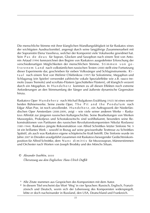Die menschliche Stimme mit ihrer klanglichen Wandlungsfähigkeit ist für Raskatov eines der wichtigsten Ausdrucksmittel, angeregt durch seine langjährige Zusammenarbeit mit der Sopranistin Elena Vassilieva, welcher der Komponist viele Vokalwerke gewidmet hat. Sein P a s d e d e u x für Sopran, Glocken und Saxophon nach einem Text von Antonin Artaud (1994) kennzeichnet den Beginn von Raskatovs ausgedehnter Erforschung der verschiedenartigen Möglichkeiten der menschlichen Stimme. Stimmen von gefrorenem Land nach volkstümlichen russischen Texten (2000) stellt eine Fortsetzung dieser Experimente dar, geschrieben für sieben Volkssänger und Schlaginstrumente. R i tu a l nach einem Text von Welimir Chlebnikow (1997) für Solostimme, Megaphon und Schlagzeug (ein Spieler) verwendet zahlreiche vokale Spezialeffekte wie z.B. rauco tremolo [raues Tremolo] und scrollato-Flüstern [geschütteltes Flüstern], oft klanglich verzerrt durch ein Megaphon. In H u n d e h e r z kommen zu all diesen Effekten noch extreme Anforderungen an den Stimmumfang der Sänger und äußerste dynamische Gegensätze hinzu.

Raskatovs Oper H u n d e h e r z nach Michail Bulgakows Erzählung (1925) ist eines seiner beiden Bühnenwerke. Seine zweite Oper, The Pit and the Pendulum nach Edgar Allan Poe, ist noch unvollendet. H u n d e h e r z , ein Auftragswerk der Niederländischen Oper Amsterdam (2008-2009), zeigt – wie viele seiner anderen Werke – Raskatovs Affinität zur jüngeren russischen Kulturgeschichte. Seine Bearbeitungen von Werken Mussorgskis, Prokofjews und Schostakowitschs sind wohlbekannt, besonders seine Rekonstruktionen von Partituren des russischen Revolutionskomponisten Nikolai Roslawez (1881-1944). Raskatovs jüngste Rekonstruktion von Alfred Schnittkes letzter Sinfonie Nr. 9 ist ein brillantes Werk – sowohl in Bezug auf seine gewissenhafte Texttreue zu Schnittkes Spätstil, als auch was Raskatovs eigene schöpferische Kraft betrifft. Die Sinfonie wurde im Jahre 2007 in Dresden uraufgeführt zusammen mit Raskatovs bewegender Gedächtniskomposition für Alfred Schnittke, dem N u n c d i m i t t i s für Mezzosopran, Männerstimmen und Orchester nach Worten von Joseph Brodsky und des Mönchs Siluan.

#### © *Alexander Ivashkin,* 2010  *Übersetzung aus dem Englischen: Hans-Ulrich Duffek*

- **¹** Alle Zitate stammen aus Gesprächen des Komponisten mit dem Autor.
- **²** In diesem Titel erscheint das Wort 'Weg' in vier Sprachen: Russisch, Englisch, Franzözösisch und Deutsch, worin sich der Lebensweg des Komponisten widerspiegelt, lebte er doch nacheinander in Russland, den USA, Deutschland und Frankreich.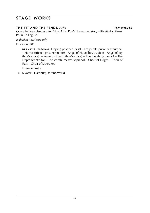### **stage works**

#### **the pit and the pendulum 1989**-**1991**/**2005**

Opera in five episodes after Edgar Allan Poe's like-named story – libretto by Alexei Parin (in English)

*unfinished (vocal score only)*

Duration: 90'

**DRAMATIS PERSONAE:** Hoping prisoner (bass) – Desperate prisoner (baritone) – Horror-stricken prisoner (tenor) – Angel of Hope (boy's voice) – Angel of Joy (boy's voice) – Angel of Death (boy's voice) – The Height (soprano) – The Depth (contralto) – The Width (mezzo-soprano) – Choir of Judges – Choir of Rats – Choir of Liberators

large orchestra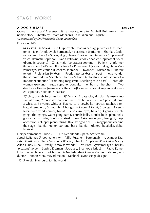### **stage works**

#### **a dog's heart 2008**-**2009**

Opera in two acts (17 scenes with an epilogue) after Mikhail Bulgakov's likenamed story – libretto by Cesare Mazzonis (in Russian and English) *Commissioned by De Nederlandse Opera, Amsterdam*

Duration: 140'

**d r a m at i s p e r s o n a e** : Filip Filippovich Preobrazhensky, professor (bass-baritone) – Ivan Arnoldovich Bormental, his assistant (baritone) – Sharikov (coloratura tenor buffo) – Sharik, dog ('pleasant' voice: countertenor / 'unpleasant' voice: dramatic soprano) – Daria Petrovna, cook / Sharik's 'unpleasant' voice (dramatic soprano) – Zina, maid (coloratura soprano) – Patient I / Informer (tenore spinto) – Patient II (contralto) – Proletarian I (soprano d'agilità) – Vyazemskaya, Proletarian II (mezzo-soprano) – Shvonder, Proletarian III (heroic tenor) – Proletarian IV (bass) – Fyodor, porter (basso largo) – News vendor (basso profondo) – Secretary, Sharikov's bride (coloratura spinto soprano) – Important superior / Examining magistrate (speaking role / bass) – Three old women (soprano, mezzo-soprano, contralto [members of the choir]) – Two drunkards (basses [members of the choir]) – mixed choir (4 sopranos, 4 mezzo-sopranos, 4 tenors, 4 basses)

2(2picc, alto fl).1(cor anglais).3(2*Eb* clar, 2 bass clar, db clar).2sax(soprano sax, alto sax, 2 tenor sax, baritone sax).1(db bn)  $- 2.1.2.1 - 3$  perc (tgl, crot, 3 whistles, 3 swanee whistles, flex, cuica, 3 cowbells, maracas, ratchet, bamboo, 4 temple bl, 3 wood bl, 3 bongos, rototom, 4 tom-t, 3 congas, 4 ventilators with wind chimes, hi-hat, 3 susp.cym, cym, bass dr, 3 gongs, temple gong, Thai gongs, water gong, tam-t, church bells, tubular bells, plate bells, glsp, vibr, marimba, lion's roar, steel drums, 2 sirenes), el.guit, bass guit, harp, accordion, cel, hpd, piano, strings (five-stringed db) – 17 megaphones behind the stage – banda I (tenor, baritone, bass), banda II (domra, balalaika, dbbalalaika)

First performance: 7 June 2010, De Nederlands Opera, Amsterdam

Sergei Leiferkus (Preobrazhensky) – Ville Rusanen (Bormental) – Alexander Kravets (Sharikov) – Elena Vassilieva (Daria / Sharik's 'unpleasant' voice) – Nancy Allen Lundy (Zina) – Vasily Efimov (Shvonder) – Ivo Posti (Vyazemskaya / Sharik's 'pleasant' voice) – Sophie Desmars (Secretary, Sharikov's bride) – (Radio Kamer Filharmonie Hilversum – Choir of De Nederlandse Opera – Martyn Brabbins (conductor) – Simon McBurney (director) – Michael Levine (stage design)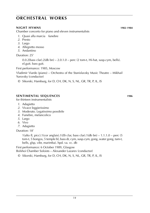#### **night hymns 1982**-**1984**

Chamber concerto for piano and eleven instrumentalists

- *1*. Quasi alla marcia funebre
- *2*. Presto
- *3*. Largo
- *4*. Allegretto mosso
- *5*. Andantino

Duration: 25'

 $0.0.2$ (bass clar).  $2$ (db bn) –  $2.0.1.0$  – perc (2 tom-t, Hi-hat, susp.cym, bells). el.guit. bass guit.

First performance: 1985, Moscow

Vladimir Viardo (piano) – Orchestra of the Stanislavsky Music Theatre – Mikhail Yurovsky (conductor)

© Sikorski, Hamburg, for D, CH, DK, N, S, NL, GR, TR, P, IL, IS

#### **sentimental sequences 1986**

for thirteen instrumentalists

- *1*. Adagietto
- *2*. Vivace leggierissimo
- *3*. Moderato. Legatissimo possibile
- *4*. Funebre, melancolico
- *5*. Largo
- *6*. Vivo
- *7*. Adagietto

Duration: 18'

1(alto fl, picc).1(cor anglais).1(*Eb* clar, bass clar).1(db bn) – 1.1.1.0 – perc (5 tom-t, 5 bongos, 5 temple bl, bass dr, cym, susp.cym, gong, water gong, tam-t, bells, glsp, vibr, marimba). hpd. va. vc. db

First performance: 6 October 1989, Glasgow

Bolshoi Chamber Soloists – Alexander Lazarev (conductor)

© Sikorski, Hamburg, for D, CH, DK, N, S, NL, GR, TR, P, IL, IS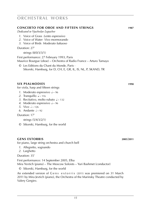### **concerto for oboe and fifteen strings 1987**

*Dedicated to Vyacheslav Lupachev*

- *1*. Voice of Grass *Lento espressivo*
- *2*. Voice of Water *Vivo mormorando*
- *3*. Voice of Birds *Moderato luttuoso*

Duration: 27'

strings (8/0/3/3/1)

First performance: 27 February 1993, Paris Maurice Bourgue (oboe) – Orchestra of Radio France – Arturo Tamayo

© Les Editions du Chant du Monde, Paris · Sikorski, Hamburg, for D, CH, E, GR, IL, IS, NL, P, SKAND, TR

#### **six psalmodies 1990**

for viola, harp and fifteen strings

- *1*. Moderato espressivo  $\sqrt{ }$  ~ 96
- 2. Tranquillo  $\sqrt{2}$  116
- 3. Recitativo, molto rubato  $\sqrt{2}$  ~ 132
- 4. Moderato espressivo  $\sqrt{2} \approx 96$
- *5*. Vivo  $\sqrt{2}$  ~ 126
- 6. Andante  $\sqrt{^2}$  92

Duration: 17'

```
strings (5/4/3/2/1)
```
© Sikorski, Hamburg, for the world

### **gens extorris 2005**/**2011**

for piano, large string orchestra and church bell

- *1*. Allegretto, sognando
- *2*. Larghetto

Duration: 35'

First performance: 14 September 2005, Elba Mira Yevtich (piano) – The Moscow Soloists – Yuri Bashmet (conductor)

© Sikorski, Hamburg, for the world

An extended version of Gens extorris (2011) was premiered on 31 March 2011 by Mira Jevtich (piano), the Orchestra of the Marinsky Theatre conducted by Valery Gergiev.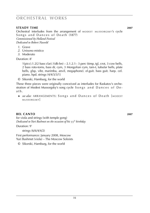#### **steady time 2007**

Orchestral interludes from the arrangement of MODEST MUSSORGSKY's cycle Songs and Dances of Death (1877) *Commissioned by Holland Festival Dedicated to Robert Nasveld*

- *1*. Grave
- *2*. Unisono mistico
- *3*. Moderato

Duration: 8'

1(picc).1.2(2 bass clar).1(db bn) – 2.1.2.1– 3 perc (timp, tgl, crot, 3 cow bells, 2 bass roto-toms, bass dr, cym, 3 Mongolian cym, tam-t, tubular bells, plate bells, glsp, vibr, marimba, anvil, megaphone). el.guit. bass guit. harp. cel. piano. hpd. strings (4/4/3/3/1)

© Sikorski, Hamburg, for the world

 These three pieces were originally conceived as interludes for Raskatov's orchestration of Modest Mussorgsky's song cycle Songs and Dances of Dea t h .

► *see also:* ARRANGEMENTS: Songs and Dances of Death [MODEST m u s s o r g s k y]

#### **bel CANTO** 2007

for viola and strings (with temple gong) *Dedicated to Yuri Bashmet on the occasion of his* 55*th birthday*

Duration: 9'

strings (6/6/4/4/2)

First performance: January 2008, Moscow Yuri Bashmet (viola) – The Moscow Soloists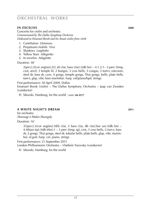#### **in excelsis 2008**

Concerto for violin and orchestra *Commissioned by The Dallas Symphony Orchestra Dedicated to Emanuel Borok and his Amati violin from* 1608

- *1*. Cantillation *Doloroso*
- *2*. Perpetuum mobile *Vivo*
- *3*. Shadows *Larghetto*
- *4*. Yellow Stars *Allegretto*
- *5*. In excelsis *Adagietto*

Duration: 38'

2(picc).2(cor anglais).2(2 *eb* clar, bass clar).2(db bn) – 4.1.2.1– 3 perc (timp, crot, anvil, 3 temple bl, 2 bongos, 3 cow bells, 3 congas, 3 tom-t, roto-tom, steel dr, bass dr, cym, 4 gongs, temple gongs, Thai gongs, bells, plate bells, tam-t, glsp, vibr, bass marimba). harp. cel/piano/hpd. strings

First performance: 30 April 2009, Dallas

Emanuel Borok (violin) – The Dallas Symphony Orchestra – Jaap van Zweden (conductor)

© Sikorski, Hamburg, for the world · *score:* **sik 8577**

#### **a white night's dream 2011**

for orchestra *Hommage à Modest Musorgsky*

Duration: 16'

 $3(3picc)$ .3(cor anglais).3(Eb clar, 2 bass clar, db clar).bar sax.3(db bn) – 4.4(bass trp).3(db trbn).1 – 3 perc (timp, tgl, crot, 3 cow bells, 2 tom-t, bass dr, 2 gongs, Thai gongs, steel dr, tubular bells, plate bells, glsp, vibr, marimba). el.guit. harp. cel. piano. strings

First performance: 21 September 2011 London Philharmonic Orchestra – Vladimir Yurovsky (conductor)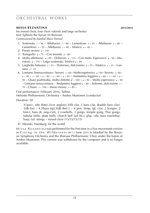#### **missa byzantina 2013**/**2014**

for mixed choir, four choir soloists and large orchestra text: Ephrem the Syrian (in Russian) *Commissioned by Istanbul Music Festival*

- 1. Sostenuto  $\frac{1}{2} \approx 96$  Affettuoso  $\frac{1}{2} \approx 80$  Lamentoso  $\frac{1}{2} \approx 95$  Affettuoso  $\frac{1}{2} \approx 80$  Lamentoso  $a \approx 95$  – Affettuoso  $a \approx 80$  – Mistico  $\omega \approx 40$  –
- 2. Presto severo  $\sqrt{2}$  ~ 150
- 3. Tranquillo  $\sqrt{25} -$ Con tremito  $\sqrt{20}$
- *4*. Molto affettuoso  $\sqrt{4 \times 80}$  Doloroso  $\sqrt{4 \times 115}$  Con moto. Espressivo  $\sqrt{4 \times 90}$  Maestoso  $\sqrt{2}$  – 110 – Largo sostenuto. Mistico  $\sqrt{2}$  – 90
- *5*. Larghetto luttuoso  $\sqrt{5}$   $\frac{1}{2}$   $\frac{5}{2}$  Doloroso, dolcissimo  $\sqrt{2}$   $\frac{5}{2}$  Estatico  $\sqrt{2}$   $\frac{5}{2}$  Lontano  $\sqrt{2}$  = 55
- *6*. Lontano. Sennza misura Severo  $\sqrt{60}$  Molto espressivo  $\sqrt{60}$  Severo  $\sqrt{60}$   $a - 90 - b - 60 - c - 90 - c - 60 - c - 90 - A$ ndantino leggiero  $a - 80 - c - c - c$ 90 – Quasi psalmodia, molto distinto  $\lambda \sim 180 - \lambda \sim 90$  – Molto espressivo  $\lambda \sim 90$ – Lontano senza misura – Andantino leggiero  $\sqrt{2}$  – 80 – Solenne, dolcissimo  $\sqrt{2}$ 70 – Chiaro  $\sqrt{2}$  – 100 – Meno mosso  $\sqrt{2}$  – 80 –

First performance: February 2016, Tallinn Helsinki Philharmonic Orchestra – Andres Mustonen (conductor)

Duration: 50'

3(3picc, alto flute).3(cor anglais).3(*Eb* clar, 2 bass clar, double bass clar).  $3$ (db bn) – 4.3(bass trp).3(db tbn).1 – 4 perc (timp, tgl, crot, 2 bongos, 2 tom-t, bass dr, susp.cym, 2 cowbells, 3 gongs, temple gong, Thai gongs, tubular bells, plate bells, church bell [ad lib.], glsp, vibr, bass marimba). harp. cel. strings – mixed choir (15/15/15/15)

© Sikorski, Hamburg, for the world

M is s a B y z a n t i n a was performed for the first time in a five-movement-version as Crying in the Wilderness on 13 June 2014 in Istanbul by the Borusan Symphony Orchestra and the Warsaw Philharmonic Choir under the baton of Andres Mustonen. This version was withdrawn by the composer and is no longer available.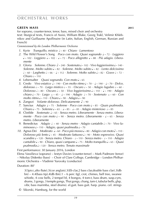#### **green mass 2015**

for soprano, counter-tenor, tenor, bass, mixed choir and orchestra text: liturgical texts, Francis of Assisi, William Blake, Georg Trakl, Velimir Khlebnikov and Guillaume Apollinaire (in Latin, Italian, English, German, Russian and French)

*Commissioned by the London Philharmonic Orchestra*

- *1.* Kyrie *Tranquillo, mistico*  $\sqrt{a^2 + 40}$  *Chiaro · Lamentoso*
- *2*. The Wild Flower's Song *Poco con moto. Quasi sognando* q ~ 72 · *Leggiero* q ~ 102 · *Leggiero* q ~ 102 · q ~ 72 · *Poco allegretto* q ~ 88 · *Più adagio. Liberamente*
- *3.* Gloria *Solenne. Chiaro* ♪~ 240 · *Sostenuto* → 102 · *Vivo leggierissimo* → 140 · *Solenne. Molto subito* q ~ 82 · *Solenne. Molto subito* q ~ 82 · *Lento dolcissimo*  h ~ 60 · *Larghetto* h ~ 66 · q ~ 112 · *Solenne. Molto subito* q ~ 82 · *Grave* h ~ 72 ·  $Chiaro<sub>n</sub> < 110$
- 4. Lebensalter *Quasi sognando. Con moto*  $\sqrt{ }$  ~ 65
- *5*. Credo *Vivo estatico*  $\sqrt{ }$  190 · *Con molto ritmo*  $\sqrt{ }$  70 ·  $\sqrt{ }$  190 ·  $\sqrt{ }$  70 · *Dolce, doloroso* h ~ 70 · *Largo mistico* h ~ 55 · *Oscuro* h ~ 50 · *Adagio lugubre* h ~ 60 · *Doloroso* h ~ 80 · *Oscuro* h ~ 50 · *Vivo leggierissimo* q ~ 110 · q ~ 190 · *Adagio chiaro* q ~ 70 · *Largo* w ~ 45 · q ~ 190 · *Adagio* h ~ 70 · *Sostenuto* w ~ 60 · *Con molto ritmo* q ~ 110 · *Chiaro* q ~ 90 · *Adagio* q ~ 90
- *6.* Zangezi *Volante doloroso. Delicatamente*  $\lambda \sim 90$
- *7*. Sanctus *Adagio* q ~ 75 · *Solenne* · *Poco con moto* q ~ 85 · *Quais psalmodia. Chiaro*  $\sqrt{a}$   $\sim$  75 · *Solenne*  $\sqrt{a}$   $\sim$  65 ·  $\sqrt{a}$   $\sim$  85 · *Adagio misterioso*  $\sqrt{a}$   $\sim$  85
- 8. Clotilde *Sostenuto*  $\sqrt{ }$  ~ 65 · *Senza metro. Liberamente* · *Senza metro. Libera* $m$ ente · *Poco con moto*  $\frac{1}{2} \approx 90$  · *Senza metro. Liberamente* ·  $\frac{1}{2} \approx 65$  · *Senza metro. Liberamente*
- 9. Benedictus *Adagio*  $\frac{1}{2} \sim 40$  · *Senza metro* · *Adagio cantabile*  $\frac{1}{2} \sim 70$  · *Vivo luminosoo*  $\sqrt{ } \sim 110 \cdot \text{A}$ dagio, quasi psalmodia  $\sqrt{ } \sim 70$
- *10.* Agnus Dei *Moderato*  $\sqrt{\ }$  ~ 60 · *Poco più mosso*  $\sqrt{\ }$  ~ 80 · *Adagio con moto*  $\sqrt{\ }$  ~ 110 · *Doloroso più lento* q ~ 45 · *Moderato luttuoso* q ~ 90 · *Moto espressivo. Quasi scandire* q ~ 120 · *Senza metro. Chiaro* · h ~ 110 · *Senza metro* · h ~ 110 · *Adagio cantabile* q ~ 90 · *Chiaro, quasi campane* q ~ 75 · *Molto tranquillo* q ~ 65 · *Quasi psalmodia* q ~ 120 · *Senza metro. Tenuto massimale*

First performance: 30 January 2016, London

Elena Vassilieva (soprano) – Iestyn Davies (counter-tenor) – Mark Padmore (tenor) – Nikolay Didenko (bass) – Choir of Clare College, Cambridge – London Philharmonic Orchestra – Vladimir Yurovsky (conductor)

Duration: 80'

3(3picc,alto flute).3(cor anglais).3(*Eb* clar,2 bass clar,double bass clar).3(db  $bn) - 4.4$ (bass trp). $4$ (db tbn). $1 - 6$  perc (tgl, crot, chimes, bell tree, swanee whistle, 4 cow bells, 2 tempel bl, 4 bongos, 4 tom-t, bass drum, susp.cym, drums, 3 gongs, 3 temple gongs, Thai gongs, chang, tam-t, tubular bells, glsp, vibr, bass marimba, steel drums). el.guit. bass guit. harp. piano. cel. strings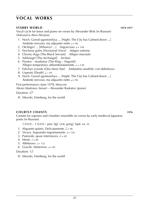#### **starry world 1974-1977**

Vocal cycle for tenor and piano on verses by Alexander Blok (in Russian) *Dedicated to Alexei Martynov*

- *1*. Noch. Gorod ugomonilsya ... [Night. The City has Calmed down ...] *Andante nervoso, ma alquanto netto*  $\sqrt{ }$  = 96
- *2.* Otchego? ... [Whence? ...] *Angoscioso*  $\sqrt{ }$  = 144
- *3*. Nochnoy golos [Nocturnal Voice] *Adagio solenne*
- *4*. Chorny sluga [The Black Servant] *Allegro marziale*
- *5*. Arkhangel [The Archangel] *Archaic*
- *6*. Persten stradanye [The Ring Anguish] *Allegro tempestoso; abbandonatamente*  $\sqrt{ }$  = 120
- *7*. Eshchyo zvezda [One More Star] *Andantino amabile; con debolezza*
- *8.* Uspenie [Death]  $\sqrt{2}$  ~ 44
- *9.* Noch. Gorod ygomonilsya ... [Night. The City has Calmed down ...] *Andante nervoso, ma alquanto netto*  $\sqrt{ }$  = 96

First performance: June 1978, Moscow Alexei Martynov (tenor) – Alexander Raskatov (piano)

Duration: 27'

© Sikorski, Hamburg, for the world

#### **courtly chants 1976**

Cantata for soprano and chamber ensemble on verses by early medieval Japanese poets (in Russian)

1.0.0.0 – 1.0.0.0 – perc (tgl, crot, gong). hpd. va. vc

- *1*. Alquanto quieto. Delicatamente  $\ell = 96$
- 2. Vivace. Sognando inquietamente  $l = 126$
- *3*. Pastorale, quasi intermezzo  $\lambda = 69$
- 4. Mesto  $\epsilon = 44$
- $5.$  Affettuoso  $a = 132$
- 6. Gracile. Misterioso  $a = 69$

Duration: 12'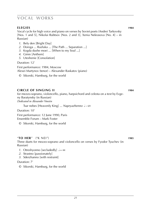#### **elegies 1984**

Vocal cycle for high voice and piano on verses by Soviet poets (Andrei Tarkovsky [Nos. 1 and 5], Nikolai Rubtsov [Nos. 2 and 3], Xenia Nekrasova [No. 4] – in Russian)

- *1*. Bely den [Bright Day]
- *2*. Doroga ... Razluka ... [The Path ... Separation ...]
- *3*. Kogda dushe moei ... [When to my Soul ...]
- *4*. Gimn [Anthem]
- *5*. Uteshenie [Consolation]

Duration: 12'

First performance: 1984, Moscow Alexei Martynov (tenor) – Alexander Raskatov (piano)

© Sikorski, Hamburg, for the world

#### **circle of singing II 1984**

for mezzo-soprano, violoncello, piano, harpsichord and celesta on a text by Evgeny Baratynsky (in Russian) *Dedicated to Alexander Voostin*

Tsar nebes [Heavenly King] ... *Napryazhenno*  $\sqrt{5}$  ~ 69

Duration: 10'

First performance: 12 June 1990, Paris Ensemble Forum – Mark Foster

© Sikorski, Hamburg, for the world

#### "**to her**" ("k nei") **1985**

Three duets for mezzo-soprano and violoncello on verses by Fyodor Tyuchev (in Russian)

- *1*. Otreshyonno [secludedly]  $d = 44$
- *2*. Strastno [passionately]
- *3*. Sderzhanno [with restraint]

Duration: 7'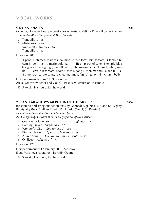#### **gra-ka-kha-ta 1988**

for tenor, violin and four percussionists on texts by Velimir Khlebnikov (in Russian) *Dedicated to Alexei Martynov and Mark Pekarsky*

- 1. Tranquillo  $\sqrt{3} \approx 88$
- *2.* Misterioso **q** ~ 66
- 3. Vivo molto ritmico  $\frac{1}{2}$  ~ 168
- 4. Tranquillo  $\sqrt{4.40}$

Duration: 20'

4 perc (**I**: chimes, maracas, calimba, 2 roto-toms, bin sansara, 3 temple bl, cym II, bells, tam-t, marimbula, fan I – **II**: timp out of tune, 3 temple bl, 6 bongos, chimes, gong I, cym III, whip, vibr, marimba, fan II, anvil, whip, sirene – **III**: crot, bin sansara, 6 tom-t, cym I, gong II, vibr, marimbula, fan III – **IV**: 4 timp, crot, 2 roto-toms, ratchet, marimba, fan IV). tenor (vln, church bell)

First performance: June 1989, Moscow

Alexei Martynov (tenor and violin) – Pekarsky Percussion Ensemble

© Sikorski, Hamburg, for the world

#### **''... and meadows merge into the sky ...'' 2004**

for soprano and string quartet on texts by Gennadi Aigi (Nos. 2, 5 and 6), Evgeny Baratynsky (Nos. 3, 4) and Vasily Zhukovsky (No. 1) (in Russian) *Commissioned by and dedicated to Borodin Quartet No.* 6 *is especially dedicated to the memory of the composer*'*s mother*

- *1.* Comfort *Moderato*  $\frac{1}{2} \approx 72 \frac{1}{2} \approx 72 \frac{1}{2}$  arghetto  $\frac{1}{2} \approx 62$
- 2. Evening Prayer *Larghetto*  $\sqrt{2}$  > 52
- *3.* Wonderful City *Vivo furioso*  $\sqrt{ }$  ~ 200
- 4. King of Heavens *Spianato, Lontano*  $\sim 66$
- *5*. As in a Song ... *Con molto ritmo. Pesante*  $\sqrt{5}$  ~ 56
- *6*. O, Sleep *Adagietto*  $\sqrt[3]{\ }$  ~ 43

Duration: 17'

First performance: 17 January 2005, Moscow Elena Vassilieva (soprano) – Borodin Quartet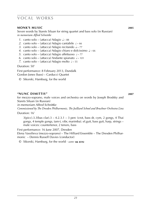#### **monk's music 2005**

Seven words by Starets Siluan for string quartet and bass solo (in Russian) *in memoriam Alfred Schnittke*

- *1*. canto solo (*attacca*) Adagio  $\sqrt{2} \approx 88$
- 2. canto solo (*attacca*) Adagio cantabile  $\sqrt{6}$  66
- *3.* canto solo (*attacca*) Adagio recitando  $\sqrt{2}$  ~ 77
- *4*. canto solo (*attacca)* Adagio chiaro e dolcissimo q ~ 66
- *5*. canto solo (*attacca*) Adagio affettuoso  $\sqrt{2}$  77
- 6. canto solo (*attacca*) Andante spianato  $\sqrt{2}$  101
- *7.* canto solo (*attacca*) Adagio molto  $\sqrt{2}$  55

Duration: 50'

First performance: 8 February 2013, Dundalk Gordon Jones (bass) – Carducci Quartet

© Sikorski, Hamburg, for the world

#### **''nunc dimittis'' 2007**

for mezzo-soprano, male voices and orchestra on words by Joseph Brodsky and Starets Siluan (in Russian)

*in memoriam Alfred Schnittke*

*Commissioned by The Dresden Philharmonic, The Juilliard School and Bruckner Orchestra Linz*

Duration: 16'

 $3$ (picc).3.3(bas clar).3 – 4.2.3.1 – 3 perc (crot, bass dr, cym, 2 gongs, 4 Thai gongs, 4 temple gongs, tam-t, vibr, marimba). el.guit, bass guit, harp, strings – male voices: countertenor, 2 tenors, bass

First performance: 16 June 2007, Dresden Elena Vassilieva (mezzo-soprano) – The Hilliard Ensemble – The Dresden Philharmonic – Dennis Russell Davies (conductor)

© Sikorski, Hamburg, for the world · *score:* **sik 8592**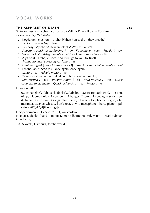#### **the alphabet of death 2005**

Suite for bass and orchestra on texts by Velimir Khlebnikov (in Russian) *Commissioned by NTR Radio* 

- *1*. Kogda umirayut koni dyshat [When horses die they breathe] *Lento*  $\sqrt{6}$  – 80 – *Adagio*  $\sqrt{6}$  – 60
- *2*. Ty chasy? My chasy! [You are clocks? We are clocks!] *Allegretto quasi marcia funebre*  $\sqrt{a}$  – 100 – *Poco meno mosso* – *Adagio*  $\sqrt{a}$  – 100
- *3.* Volga! *Volga! Adagio lugubre*  $\sqrt{a^2 50} Qu$  *asi coro*  $\sqrt{a^2 70} \sqrt{a^2 50}$
- *4*. A ya poidu k tebe, v Tibet [And I will go to you, to Tibet] *Tranquillo quasi senza espressione*  $\sqrt{3}$  - 45
- *5*. Gau! gau! gau! [Ha-oo! ha-oo! ha-oo!] *Vivo furioso*  $\sqrt{2}$  = 160 *Lugubre*  $\sqrt{2}$  = 80
- *6*. Eshcho ras, eshcho ras [Once again, once again] *Lento*  $I \sim 53 -$  *Adagio molto*  $I \sim 40$
- *7*. Ya umer i sasmeyalsya [I died and I broke out in laughter] *Vivo mistico*  $\sqrt{ } \sim 120 - \text{Pesante subito} \sqrt{ } \sim 80 - \text{Vivo volante} \sqrt{ } \sim 140 - \text{Quasi}$ *cadenza. senza metro* – *Quasi recitando* q ~ 100 – *Mesto* q ~ 76

Duration: 28'

0.2(cor anglais).3(2bass cl, db clar).2(2db bn) – 3.bass trpt.3(db trbn).1 – 3 perc (timp, tgl, crot, quica, 3 cow bells, 2 bongos, 2 tom-t, 2 congas, bass dr, steel dr, hi hat, 3 susp.cym, 3 gongs, plate, tam-t, tubular bells, plate bells, glsp, vibr, marimba, swanee whistle, lion's roar, anvill, megaphone). harp. piano. hpd. strings (0/0/8/6/4[five stings])

First performance: 15 April 20011, Amsterdam

Nikolai Didenko (bass) – Radio Kamer Filharmonie Hilversum – Brad Lubman (conductor)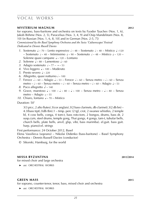#### **mysterium magnum 2012**

for soprano, bass-baritone and orchestra on texts by Fyodor Tyuchev (Nos. 1, 6), Jakob Böhme (Nos. 2, 5), Paracelsus (Nos. 3, 4, 9) and Osip Mandelstam (Nos. 8, 10) (in Russian [Nos. 1, 6, 8, 10] and in German [Nos. 2-5, 7]) *Commissioned by the Basel Symphony Orchestra and the Swiss 'Culturescapes' Festival Dedicated to Dennis Russell Davies*

- *1*. Sostenuto  $\sqrt{2}$   $20 -$  Lento espressivo  $\sqrt{2}$  48 Sostenuto  $\sqrt{2}$  48 Mistico  $\sqrt{2}$  –120 – Sostenuto  $\sqrt{3} \sim 48$  – Intimissimo  $\sqrt{2} \sim 90$  – Sostenuto  $\sqrt{3} \sim 48$  – Mistico  $\sqrt{2} \sim 120$  – Solenne quasi campane  $\sqrt{2}$  – 120 – Lontano
- 2. Solenne  $a = 88 -$  Lamentoso  $a = 60$
- 3. Adagio sostenuto  $\approx 77 8 \approx 53$
- 4. Vivo leggero  $\sqrt{2}$  100 Moderato
- *5*. Presto severo  $\sqrt{2}$  ~ 220
- 6. Allegretto, quasi notturno  $\sqrt{a}$  ~ 100
- *7.* Feroce  $\sqrt{60 4}$  Adagio  $\sqrt{60 5}$  Feroce  $\sqrt{60 5}$  Senza metro  $\sqrt{60 5}$  enza metro –  $\frac{1}{2}$  ~ 60 – Senza metro –  $\frac{1}{2}$  ~ 60 – Senza metro –  $\frac{1}{2}$  ~ 60 – Adagio  $\frac{1}{2}$  ~ 53
- *8*. Poco allegretto  $\sqrt[3]{\ }$  ~ 140
- *9.* Grave, maestoso  $\sqrt{2} \times 100 \sqrt{2} \times 80 \sqrt{2} \times 100 \frac{1}{2} \times 100 = 60$  metro  $\sqrt{2} \times 80 \frac{1}{2} \times 100 = 60$ metro – Adagio  $\sim 55$
- 10. Chiaro, lontano  $\sqrt{2}$  70 Mistico

Duration: 50'

3(3 picc, 2 alto flutes).3(cor anglais).3(2 bass clarinets, db clarinet).3(2 db bn) – 4.3(bass trpt).3(db tbn).1 – timp. perc (2 tgl, crot, 2 swanee whistles, 2 temple bl, 4 cow bells, conga, 4 tom-t, bass roto-tom, 2 bongos, drums, bass dr, 2 susp.cym, steel drums, temple gong, Thai gongs, 4 gongs, tam-t, tubular bells, church bells, plate bells, anvil, glsp, vibr, bass marimba). el.guit. bass guit. harp. piano/cel. strings

First performance: 24 October 2012, Basel Elena Vassilieva (soprano) – Nikolai Didenko (bass-baritone) – Basel Symphony Orchestra – Dennis Russell Davies (conductor)

© Sikorski, Hamburg, for the world

#### **missa byzantina 2013**/**2014**

for mixed choir and large orchestra

 ► *see:* ORCHESTRAL WORKS

#### **green mass 2015**

for soprano, counter-tenor, tenor, bass, mixed choir and orchestra

 ► *see:* ORCHESTRAL WORKS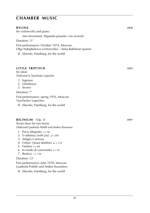#### **bylina 1974**

for violoncello and piano one movement: Alquanto pesante; con severità

Duration: 11'

First performance: October 1974, Moscow Olga Nakipbekova (violoncello) – Anna Rakhman (piano)

© Sikorski, Hamburg, for the world

#### **little triptych 1975**

for oboe *Dedicated to Vyacheslav Lupachov*

- *1*. Ingenuo
- *2*. Ghiribizzo
- *3*. Severo

Duration: 7'

First performance: spring 1976, Moscow Vyacheslav Lupachov

© Sikorski, Hamburg, for the world

#### **bicinium** (Op. 3) **1977**

Seven duos for two horns *Dedicated Lyudmila Polekh and Andrei Kuznetsov*

- *1*. Poco allegretto  $\sqrt{ }$  = 96
- 2. S radostyu [with joy]  $J = 200$
- *3*. Adagio e serioso
- *4*. Celere. Quasi duettino  $\epsilon$ . = 132
- *5*. Fanfara  $\sqrt{ } = 88$
- 6. In modo di canzonetta  $l = 92$
- *7*. Rustico  $d = 126$

#### Duration: 12'

First performance: June 1978, Moscow Lyudmila Polekh and Andrei Kuznetsov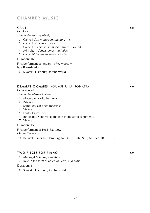#### **canti 1978**

for viola *Dedicated to Igor Boguslavsky*

- 1. Canto I *Con molto sentimento*  $\sqrt{2}$  ~ 76
- 2. Canto II *Adagietto*  $\sqrt{a^2 + 48}$
- 3. Canto III *Giocoso, in modo narrativo*  $\sqrt{ }$  ~ 138
- *4*. Ad libitum *Senza tempo, archaico*
- *5*. Canto IV *Larghetto estatico*  $\sqrt{2} \approx 80$

Duration: 16'

First performance: January 1979, Moscow Igor Boguslavsky

© Sikorski, Hamburg, for the world

#### **DRAMATIC GAMES** (QUASI UNA SONATA) **1979**

for violoncello *Dedicated to Marina Tarasova*

- *1*. Moderato. Molto luttuoso
- *2*. Adagio
- *3*. Semplice. Un poco maestoso
- *4*. Vivace
- *5*. Lento. Espressivo
- *6*. Innocente. Sotto voce, ma con intimissimo sentimento
- *7*. Vivace

Duration: 15'

First performance: 1981, Moscow Marina Tarasova

© Belaieff · Sikorski, Hamburg, for D, CH, DK, N, S, NL, GR, TR, P, IL, IS

#### **two pieces for piano 1980**

*1*. Madrigal *Solenne, cantabile*

*2*. Joke in the form of an etude *Vivo, alla burla*

#### Duration: 3'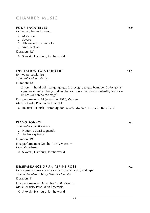#### **four Bagatelles 1980**

for two violins and bassoon

- *1*. Moderato
- *2*. Severo
- *3*. Allegretto quasi tremolo
- *4*. Vivo. Festoso

Duration: 12'

© Sikorski, Hamburg, for the world

#### **invitation to a concert 1981**

for two percussionists *Dedicated to Mark Pekarsky*

Duration: 12'

2 perc (**I**: hand bell, bangu, gangu, 2 osevegni, tangu, bamboo, 2 Mongolian cym, water gong, chung, Indian chimes, lion's roar, swanee whistle, bass dr – **II**: bass dr behind the stage)

First performance: 24 September 1988, Warsaw Mark Pekarsky Percussion Ensemble

© Belaieff · Sikorski, Hamburg, for D, CH, DK, N, S, NL, GR, TR, P, IL, IS

#### **piano sonata 1981**

*Dedicated to Olga Magidenko*

*1*. Notturno quasi sognando

*2*. Andante spianato

Duration: 19'

First performance: October 1981, Moscow Olga Magidenko

© Sikorski, Hamburg, for the world

#### **remembrance of an alpine rose 1982**

for six percussionists, a musical box (barrel organ) and tape *Dedicated to Mark Pekarsky Percussion Ensemble*

Duration: 11'

First performance: December 1988, Moscow Mark Pekarsky Percussion Ensemble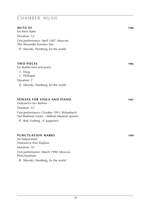#### **muta iii 1986**

for three flutes Duration: 12' First performance: April 1987, Moscow

The Alexander Korneev Trio

© Sikorski, Hamburg, for the world

#### **two pieces 1986**

for double bass and piano

- *1*. Elegy
- *2*. Dialogue

Duration: 3'

© Sikorski, Hamburg, for the world

#### **sonata for viola and piano 1987**

*Dedicated to Yuri Bashmet*

Duration: 22' First performance: October 1991, Rolandseck Yuri Bashmet (viola) – Mikhail Muntian (piano)

© Rob. Forberg - P. Jurgensen

#### **punctuation marks 1989**

for harpsichord *Dedicated to Petia Kaufman* Duration: 10'

First performance: March 1990, Moscow Petia Kaufman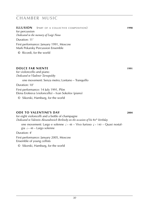#### **ILLUSION** (PART OF A COLLECTIVE COMPOSITION) **1990**

for percussion *Dedicated to the memory of Luigi Nono*

#### Duration: 11'

First performance: January 1991, Moscow Mark Pekarsky Percussion Ensemble

**©** Ricordi, for the world

#### **dolce far niente 1991**

for violoncello and piano *Dedicated to Vladimir Tarnopolsky*

one movement: Senza metro; Lontano – Tranquillo

Duration: 10'

First performance: 14 July 1991, Plön Elena Erofeeva (violoncello) – Ivan Sokolov (piano)

© Sikorski, Hamburg, for the world

#### **ode to valentine's day 2004**

for eight violoncelli and a bottle of champagne *Dedicated to Valentin Alexandrovich Berlinsky on the occasion of his* 80th *birthday*

one movement: Largo e solenne  $\sqrt{ }$  ~ 48 – Vivo furioso  $\sqrt{ }$  ~ 140 – Quasi nostalgia  $\sqrt{3} \sim 48 - \text{Large scheme}$ 

Duration: 4'

First performance: January 2005, Moscow Ensemble of young cellists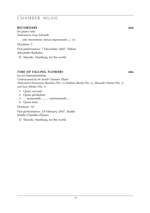#### **recordare 2006**

for piano solo *Dedicated to Irina Schnittke* one movement: Senza espressione  $\sqrt{64}$ Duration: 5' First performance: 7 December 2007, Tallinn Alexander Raskatov © Sikorski, Hamburg, for the world

#### **time of falling flowers 2006**

for six instrumentalists *Commissioned by the Seattle Chamber Players Dedicated to Konstantin Batashov* (No. 1)*,Vladimir Barsky* (No. 2)*, Alexander Voostin* (No. 3) *and Ivan Sokolov* (No. 1)

- *1*. Quasi vacuum
- *2*. Quasi pendulum
- *3*. ... sussurando ..., ... mormorando ...
- *4*. Quasi inno

Duration: 16'

First performance: 24 February 2007, Seattle Seattle Chamber Players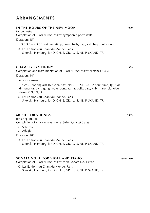### **arrangements**

#### **in the hours of the new moon 1989** for orchestra Completion of NIKOLAI ROSLAVETS' symphonic poem (1912) Duration: 15'

 $3.3.3.2 - 4.3.3.1 - 4$  perc (timp, tam-t, bells, glsp, xyl). harp. cel. strings

© Les Editions du Chant du Monde, Paris · Sikorski, Hamburg, for D, CH, E, GR, IL, IS, NL, P, SKAND, TR

#### **chamber symphony 1989**

Completion and instrumentation of NIKOLAL ROSLAVETS' sketches (1926)

Duration: 14'

one movement

1(picc).1(cor anglais).1(*Eb* clar, bass clar).1 – 2.1.1.0 – 2 perc (timp, tgl, side dr, tenor dr, cym, gong, water gong, tam-t, bells, glsp, xyl) . harp. piano/cel. strings (1/1/1/1/1)

© Les Editions du Chant du Monde, Paris · Sikorski, Hamburg, for D, CH, E, GR, IL, IS, NL, P, SKAND, TR

#### **music for strings 1989**

for string quartet Completion of NIKOLAI ROSLAVETS' String Quartet (1916)

- *1*. Scherzo
- *2*. Adagio

Duration: 18'

© Les Editions du Chant du Monde, Paris · Sikorski, Hamburg, for D, CH, E, GR, IL, IS, NL, P, SKAND, TR

### **sonata No. 1 for viola and piano 1989**-**1990**

Completion of NIKOLAI ROSLAVETS' Viola Sonata No. 1 (1925)

© Les Editions du Chant du Monde, Paris · Sikorski, Hamburg, for D, CH, E, GR, IL, IS, NL, P, SKAND, TR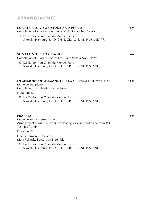### **arrangements**

| SONATA NO. 2 FOR VIOLA AND PIANO<br>Completion of NIKOLAI ROSLAVETS' Viola Sonata No. 2 (1926)<br>© Les Editions du Chant du Monde, Paris ·<br>Sikorski, Hamburg, for D, CH, E, GR, IL, IS, NL, P, SKAND, TR                                                               | 1989 |
|----------------------------------------------------------------------------------------------------------------------------------------------------------------------------------------------------------------------------------------------------------------------------|------|
| <b>SONATA NO. 6 FOR PIANO</b><br>Completion of NIKOLAI ROSLAVETS' Piano Sonata No. 6 (1926)<br>© Les Editions du Chant du Monde, Paris ·<br>Sikorski, Hamburg, for D, CH, E, GR, IL, IS, NL, P, SKAND, TR                                                                  | 1990 |
| <b>IN MEMORY OF ALEXANDER BLOK NIKOLAI ROSLAVETS (1920)</b><br>for voice and piano<br>Completion. Text: Nadezhda Pavlovich<br>Duration: 15'<br>© Les Editions du Chant du Monde, Paris ·<br>Sikorski, Hamburg, for D, CH, E, GR, IL, IS, NL, P, SKAND, TR                  | 1990 |
| <b>FRAPPEZ</b><br>for voice and and percussion<br>Arrangement of NIKOLAI ROZLAVETS' song for voice and piano from 1930<br>Text: losif Utkin<br>Duration: 5'<br>First performance: Moscow<br>Mark Pekarsky Percussion Ensemble<br>© Les Editions du Chant du Monde, Paris · | 1990 |
| Sikorski, Hamburg, for D, CH, E, GR, IL, IS, NL, P, SKAND, TR                                                                                                                                                                                                              |      |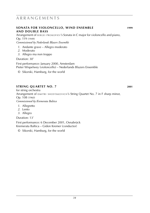### **a r r a n g e m e n t s**

#### **sonata for violoncello, wind ensemble 1999 and double bass**

Arrangement of SERGEI PROKOFIEV's Sonata in C major for violoncello and piano, Op. 119 (1949)

*Commissioned by Nederlands Blazers Ensemble*

- *1*. Andante grave Allegro moderato
- *2*. Moderato
- *3*. Allegro ma non troppo

#### Duration: 30'

First performance: January 2000, Amsterdam Pieter Wispelwey (violoncello) – Nederlands Blazers Ensemble

© Sikorski, Hamburg, for the world

#### **STRING QUARTET NO. 7 2001**

for string orchestra Arrangement of DMITRI SHOSTAKOVICH's String Quartet No. 7 in F sharp minor, Op. 108 (1960) *Commissioned by Kremerata Baltica*

- *1*. Allegretto
- *2*. Lento
- *3*. Allegro

Duration: 13'

First performance: 6 December 2001, Osnabrück Kremerata Baltica – Gidon Kremer (conductor)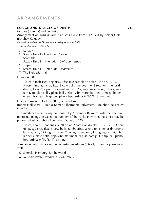### **a r r a n g e m e n t s**

#### **songs and dances of death 2007**

for bass (or tenor) and orchestra Arrangement of MODEST MUSSORGSKY's cycle from 1877. Text by Arseni Golenishchev-Kutuzov

*Commissioned by the Dutch broadcasting company NPS Dedicated to Robert Nasveld*

- *1*. Lullaby
- *2*. Steady Time I Interlude *Grave*
- *3*. Serenade
- *4*. Steady Time II Interlude *Unisono mistico*
- *5*. Trepak
- *6*. Steady Time III Interlude *Moderato*
- *7*. The Field Marshal

Duration: 28'

1(picc, alto fl).1(cor anglais).2(*Eb* clar, 2 bass clar, db clar).1(db bn) – 2.1.2.1– 3 perc (timp, tgl, crot, flex, 3 cow bells, tambourine, 2 roto-toms, tenor dr, drums, bass dr, cym, 3 Mongolian cym, 2 gongs, water gong, Thai gongs, tam-t, tubular bells, plate bells, glsp, vibr, marimba, anvil, megaphone). el.guit. bass guit. harp. cel. piano. hpd. strings (4/4/3/3/1[five strings])

First performance: 15 June 2007, Amsterdam

Robert Holl (bass) – Radio Kamer Filharmonie Hilversum – Reinbert de Leeuw (conductor)

 The interludes were newly composed by Alexander Raskatov with the intention to create linkings between the numbers of the cycle. However, the songs may be performed without these interludes (Duration: 27'):

1(picc, alto fl).1(cor anglais).2(*Eb* clar, 2 bass clar, db clar).1 – 2.1.2.1– 3 perc (timp, tgl, crot, flex, 3 cow bells, tambourine, 2 roto-toms, tenor dr, drums, bass dr, cym, 3 Mongolian cym, 2 gongs, water gong, Thai gongs, tam-t, tubular bells, plate bells, glsp, vibr, marimba). el.guit. bass guit. harp. cel. piano. hpd. strings (4/4/3/3/1[five strings])

A separate performance of the orchestral interludes ('Steady Times') is possible as well.

- © Sikorski, Hamburg, for the world
- ► *see:* ORCHESTRAL WORKS: Steady Time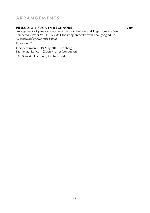### **a r r a n g e m e n t s**

#### **preludio e fuga in re minore 2010**

Arrangement of JOHANN SEBASTIAN BACH'S Prelude and Fuge from the Well-Tempered Clavier Vol. I, BWV 851 for string orchestra with Thai gong ad lib. *Commissioned by Kremerata Baltica*

Duration: 5'

First performance: 19 May 2010, Kronberg Kremerata Baltica – Gidon Kremer (conductor)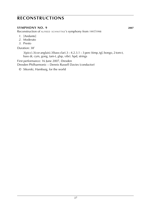### **Reconstructions**

#### **SYMPHONY NO. 9 2007**

Reconstruction of ALFRED SCHNITTKE's symphony from 1997/1998

- *1*. [Andante]
- *2*. Moderato
- *3*. Presto

Duration: 38'

 $3(picc).3(cor anglais).3(bass clar).3 - 4.2.3.1 - 3 perc (time, tgl, bongo, 2 tom-t,$ bass dr, cym, gong, tam-t, glsp, vibr). hpd, strings

First performance: 16 June 2007, Dresden

Dresden Philharmonic – Dennis Russell Davies (conductor)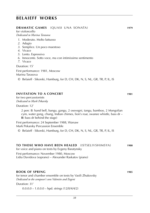|  | <b>DRAMATIC GAMES</b> (QUASI UNA SONATA) | 1979 |
|--|------------------------------------------|------|
|--|------------------------------------------|------|

for violoncello *Dedicated to Marina Tarasova*

- *1*. Moderato. Molto luttuoso
- *2*. Adagio
- *3*. Semplice. Un poco maestoso
- *4*. Vivace
- *5*. Lento. Espressivo
- *6*. Innocente. Sotto voce, ma con intimissimo sentimento

*7*. Vivace

Duration: 15'

First performance: 1981, Moscow Marina Tarasova

© Belaieff · Sikorski, Hamburg, for D, CH, DK, N, S, NL, GR, TR, P, IL, IS

#### **invitation to a concert 1981**

for two percussionists *Dedicated to Mark Pekarsky*

Duration: 12'

2 perc (**I**: hand bell, bangu, gangu, 2 osevegni, tangu, bamboo, 2 Mongolian cym, water gong, chung, Indian chimes, lion's roar, swanee whistle, bass dr – **II**: bass dr behind the stage)

First performance: 24 September 1988, Warsaw Mark Pekarsky Percussion Ensemble

© Belaieff · Sikorski, Hamburg, for D, CH, DK, N, S, NL, GR, TR, P, IL, IS

#### **to those who have been healed** (Istselivshimsya) **1980**

for voice and piano on texts by Evgeny Baratynsky

First performance: November 1980, Moscow Lidia Davidova (soprano) – Alexander Raskatov (piano)

#### **book of spring 1985**

for tenor and chamber ensemble on texts by Vasili Zhukovsky *Dedicated to the composer's sons Valentin and Evgeni*

Duration: 31'

 $0.0.0 - 1.0.0 - h$  hpd. strings  $(12/0/4/4/2)$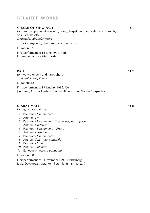| <b>CIRCLE OF SINGING I</b>                                                                      | 1984 |
|-------------------------------------------------------------------------------------------------|------|
| for mezzo-soprano, violoncello, piano, harpsichord and celesta on a text by<br>Vasili Zhukovsky |      |
| Dedicated to Alexander Voostin                                                                  |      |
| Otstranyonno, chut sentimentalno $J = 100$                                                      |      |
| Duration: 6'                                                                                    |      |
| First performance: 12 June 1990, Paris<br>Ensemble Forum - Mark Foster                          |      |
|                                                                                                 |      |

#### **path 1987 path 1987 path 1987 path 1987 path 1987**

for two violoncelli and harpsichord *Dedicated to Faraj Karaev*

Duration: 12'

First performance: 19 January 1995, Gent Jos Kamp, Olivier Gjislain (violoncelli) – Kristine Waters (harpsichord)

#### **stabat mater 1988**

for high voice and organ

- *1*. Psalmody *Liberamente*
- *2*. Anthem *Vivo*
- *3*. Psalmody *Liberamente. Crescendo poco a poco*
- *4*. Anthem *Moderato*
- *5*. Psalmody *Liberamente Presto*
- *6*. Anthem *Misterioso*
- *7*. Psalmody *Liberamente*
- *8*. Anthem *Con moto; cantabile*
- *9*. Psalmody *Vivo*
- *10*. Anthem *Sostenuto*
- *11*. Epilogue *Allegretto tranquillo*

#### Duration: 50'

First performance: 3 November 1991, Heidelberg Lidia Davydova (soprano) – Peter Schumann (organ)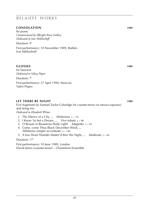#### **consolation 1989**

for piano *Commissioned by Albright Knox Gallery Dedicated to Ivar Mikhashoff*

Duration: 9'

First performance: 10 November 1989, Buffalo Ivar Mikhashoff

#### **glosses 1989**

for bassoon *Dedicated to Valery Popov* Duration: 7' First performance: 27 April 1994, Moscow

Valeri Popov

#### **let there be night 1989**

Five fragments by Samuel-Taylor Coleridge for counter-tenor (or mezzo-soprano) and string trio *Dedicated to Elizabeth Wilson*

- *1*. The Silence of a City, ... *Misterioso*  $d. ~ ~$ 76
- 2. I Know 'tis but a Dream, ... *Vivo rubato*  $\sqrt{2} \times 88$
- 3. O Beauty in Beauteous Body Light! *Adagietto*  $\sqrt{a}$  ~ 44
- *4*. Come, come Thou Black December Wind, ... *Affettuoso sempre accentuato*  $\sqrt{ }$  ~ 140
- *5*. A low Dead Thunder Mutter'd thro' the Night, ... *Moderato*  $\frac{1}{6}$  ~ 60

Duration: 17'

First performance: 10 June 1989, London David James (counter-tenor) – Chameleon Ensemble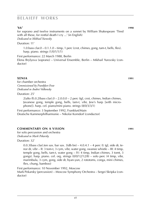**1990 1990 1990 1990 1990 1990 1990 1990 1990 1990 1990** for soprano and twelve instruments on a sonnet by William Shakespeare 'Tired with all these, for restful death I cry ...' (in English) *Dedicated to Mikhail Yurovsky*

Duration: 11'

1.0.bass clar. $0 - 0.1.1.0 - \text{time}$ , 1 perc (crot, chimes, gong, tam-t, bells, flex). harp. piano. strings (1/0/1/1/1)

First performance: 22 March 1988, Berlin Elena Brylyova (soprano) – Universal Ensemble, Berlin – Mikhail Yurovsky (conductor)

#### **Xenia 1991**

for chamber orchestra *Commissioned by Frankfurt Feste Dedicated to Andrei Volkonsky*

Duration: 25'

 $2$ (alto fl).0.2(bass clar).0 – 2.0.0.0 – 2 perc (tgl, crot, chimes, Indian chimes, Javanese gong, temple gong, bells, tam-t, vibr, Jew's harp [with microphone]). harp. cel. piano/mini piano. strings (8/0/3/3/1)

First performance: 3 September 1992, Frankfurt/Main Deutsche Kammerphilharmonie – Nikolai Korndorf (conductor)

### **commentary on a vision 1991**

for solo percussion and orchestra *Dedicated to Mark Pekarsky*

Duration: 32'

0.0.3(bass clar).ten sax. bar sax. 3(db bn)  $-$  4.0.4.1  $-$  4 perc (I: tgl, side dr, tenor dr, vibr – II: 3 tom-t, 3 cym, vibr, water gong, swanee whistle – III: 4 timp, temple gong, bells, tam-t, water gong – IV: 4 timp, Indian chimes, 3 tomt, 3 gongs). harp. piano. cel. org. strings  $(0/0/12/12/8)$  – solo perc (4 timp, vibr, marimbula, 3 cym, gong, side dr, byan-yun, 2 rototoms, conga, mini chimes, flex, chung, bamboo)

First performance: 10 November 1992, Moscow Mark Pekarsky (percussion) – Moscow Symphony Orchestra – Sergei Skripka (conductor)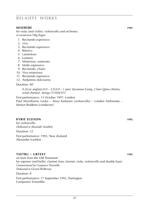#### **miserere 1992**

for viola (and violin), violoncello and orchestra *in memoriam Oleg Kagan*

- *1*. Recitando espressivo
- *2*. vivo
- *3*. Recitando espressivo
- *4*. Ritmico
- *5*. Lamentoso
- *6*. Lontano
- *7*. Misterioso, sostenuto
- *8*. Molto espressivo
- *9*. Recitando, chiaro
- *10*. Vivo misterioso
- *11*. Recitando espressivo
- *12*. Andantino dolcissimo

Duration: 40'

 $0.2$ (cor anglais). $0.0 - 2.0.0$ . $0 - 1$  perc (Javanese Gong, 2 fans [glass chimes, wind chimes]. strings (11/0/4/3/1)

First performance: 13 October 1997, London Paul Silverthorne (viola) – Anssi Kartunen (violoncello) – London Sinfonietta – Martyn Brabbins (conductor)

#### **kyrie eleison 1992**

for violoncello *Dedicated to Alexander Ivashkin*

Duration: 12'

First performance: 1993, New Zealand Alexander Ivashkin

#### **txetru – urtext 1992**

on texts from the Old Testament for soprano (and bells), clarinet, bass clarinet, viola, violoncello and double bass) *Commissioned by Composers' Ensemble Dedicated to Gerard McBurney*

Duration: 4'

First performance: 17 September 1992, Dartington Composers' Ensemble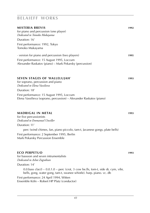| <b>MISTERIA BREVIS</b>                                  | 1992 |
|---------------------------------------------------------|------|
| for piano and percussion (one player)                   |      |
| Dedicated to Tomoko Mukayama                            |      |
| Duration: 16'                                           |      |
| First performance: 1992, Tokyo                          |      |
| Tomoko Mukayama                                         |      |
| version for piano and percussion (two players)          | 1995 |
| First performance: 15 August 1995, Loccum               |      |
| Alexander Raskatov (piano) – Mark Pekarsky (percussion) |      |

#### **seven stages of 'hallelujah**' **1993**

for soprano, percussion and piano *Dedicated to Elena Vassilieva* Duration: 18' First performance: 15 August 1995, Loccum Elena Vassilieva (soprano, percussion) – Alexander Raskatov (piano)

#### **madrigal in metal 1993**

for five percussionists *Dedicated to Emmanuel Utwiller*

#### Duration: 11'

perc (wind chimes, fan, piano piccolo, tam-t, Javanese gongs, plate bells)

First performance: 2 September 1995, Berlin Mark Pekarsky Percussion Ensemble

#### **eco perpetuo 1993**

for bassoon and seven intrumentalists *Dedicated to Ashot Zograbian*

#### Duration: 14'

0.0.bass clar. $0 - 0.0.1.0 -$  perc (crot, 3 cow be.lls, tom-t, side dr, cym, vibr, bells, gong, water gong, tam-t, swanee whistle). harp. piano. vc. db

First performance: 24 April 1994, Witten Ensemble Köln – Robert HP Platz (conductor)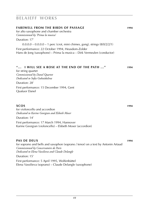### **farewell from the birds of passage 1994** for alto saxophone and chamber orchestra *Commissioned by 'Prima la musica'* Duration: 17'  $0.0.0.0 - 0.0.0.0 - 1$  perc (crot, mini chimes, gong). strings  $(8/0/2/2/1)$ First performance: 22 October 1994, Heusdom-Zolder Hans de Jong (saxophone) – Prima la musica – Dirk Vermeulen (conductor) **''... I will see a rose at the end of the path ...'' 1994**

for string quartet *Commissioned by Danel Quartet Dedicated to Sofia Gubaidulina*

Duration: 28' First performance: 15 December 1994, Gent Quatuor Danel

#### **xcos 1994**

for violoncello and accordion *Dedicated to Karine Georgian and Elsbeth Moser*

Duration: 14' First performance: 17 March 1994, Hannover Karine Georgian (violoncello) – Elsbeth Moser (accordion)

#### **pas de deux 1994**

for soprano and bells and saxophon (soprano / tenor) on a text by Antonin Artaud *Commissioned by Concervatoire de Paris Dedicated to Elena Vassilieva and Claude Delangle* Duration: 15'

First performance: 5 April 1995, Wolfenbüttel Elena Vassilieva (soprano) – Claude Delangle (saxophone)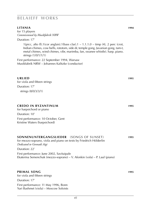#### **litania 1994**

for 15 players *Commissioned by Musikfabrik NRW*

Duration: 17'

1(picc, alto fl).1(cor anglais).1(bass clar).1 –  $1.1.1.0$  – timp (4), 2 perc (crot, Indian chimes, cow bells, rototom, side dr, temple gong, Javanian gong, tam-t, metal chimes, wind chimes, vibr, marimba, fan, swanee whistle). harp. piano. strings (1/0/1/1/1)

First performance: 22 September 1994, Warsaw Musikfabrik NRW – Johannes Kalitzke (conductor)

#### **urlied 1995**

for viola and fifteen strings Duration: 17' strings (8/0/3/3/1)

#### **credo in byzantinum 1995**

for harpsichord or piano Duration: 10' First performance: 10 October, Gent Kristine Waters (harpsichord)

First performance: 11 May 1996, Bonn Yuri Bashmet (viola) – Moscow Soloists

| <b>SONNENUNTERGANGSLIEDER</b> (SONGS OF SUNSET)<br>for mezzo-soprano, viola and piano on texts by Friedrich Hölderlin<br>Dedicated to Gennadi Aigi | 1995 |
|----------------------------------------------------------------------------------------------------------------------------------------------------|------|
| Duration: 22'                                                                                                                                      |      |
| First performance: June 2002, Savitaipale<br>Ekaterina Semenchuk (mezzo-soprano) – V. Afonkin (vola) – P. Laul (piano)                             |      |
| <b>PRIMAL SONG</b><br>for viola and fifteen strings                                                                                                | 1995 |
| Duration: 17'                                                                                                                                      |      |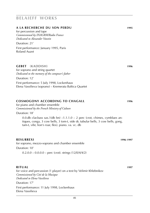#### **A la recherche du son perdu 1995**

for percussion and tape *Commissioned by INAGRM/Radio France Dedicated to Alexander Voostin*

Duration: 21'

First performance: January 1995, Paris Roland Auzet

#### **Gebet** (kaddish) **1996**

for soprano and string quartet *Dedicated to the memory of the composer's father*

Duration: 12'

First performance: 5 July 1998, Lockenhaus Elena Vassilieva (soprano) – Kremerata Baltica Quartet

#### **cosmogony according to chagall 1996**

for piano and chamber ensemble *Commissioned by the French Ministry of Culture*

Duration: 18'

0.0.db clar.bass sax.1(db bn)  $-1.1.1.0 - 2$  perc (crot, chimes, cymblaes antiques, conga, 3 cow bells, 3 tom-t, side dr, tubular bells, 3 cow bells, gong, tam-t, vibr, lion's roar, flex). piano. va. vc. db

#### **resurrexi 1996**-**1997**

for soprano, mezzo-soprano and chamber ensemble Duration: 10'

 $0.2.0.0 - 0.0.0.0 -$  perc (crot). strings  $(12/0/4/4/2)$ 

#### **ritual 1997**

for voice and percussion (1 player) on a text by Velimir Khlebnikov *Commissioned by Cité de la Musique Dedicated to Elena Vassilieva*

Duration: 17'

First performance: 11 July 1998, Lockenhaus Elena Vassilieva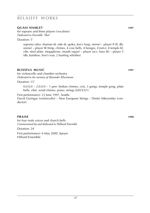#### **quasi hamlet 1997**

for soprano and three players (vocalises) *Dedicated to Ensemble 'That'*

Duration: 5'

soprano (also: shaman dr, side dr, quika, Jew's harp, sirene) – player II (fl, db, sirene) – player III (timp, chimes, 4 cow bells, 4 bongos, 4 tom-t, 4 temple bl, vibr, steel plate, megaphone, mouth organ) – player (acc, bass dr) – player 5 (db, bamboo, lion's roar, 2 hunting whistles)

#### **blissFUI MUSIC 1997**

for violoncello and chamber orchestra *Dedicated to the memory of Alexander Kharitonov*

Duration: 15'

 $0.0.0.0 - 2.0.0.0 - 1$  perc (Indian chimes, crot, 3 gongs, temple gong, plate bells, vibr). wind chimes. piano. strings (6/0/3/3/1)

First performance: 23 June 1997, Seattle

David Geringas (violoncello) – New European Strings – Dmitri Sitkovetsky (conductor)

#### **praise 1998**

for four male voices and church bells *Commissioned by and dedicated to Hilliard Ensemble*

Duration: 24'

First performance: 6 May 2000, Speyer Hilliard Ensemble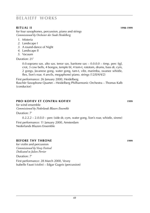#### **ritual ii 1998**-**1999**

for four saxophones, percussion, piano and strings *Commissioned by Orchester der Stadt Heidelberg*

- *1*. Misteria
- *2*. Landscape I
- *3*. A round-dance of Night
- *4*. Landscape II
- *5*. Vacuum

Duration: 21'

0.0.soprano sax. alto sax. tenor sax. baritone sax  $-0.0.0.0 -$  timp. perc (tgl, crot, 3 cow bells, 4 bongos, temple bl, 4 tom-t, rototom, drums, bass dr, cym, 2 gongs, Javanese gong, water gong, tam-t, vibr, marimba, swanee whistle, flex, lion's roar, 4 anvils, megaphone) piano. strings (12/0/4/4/2)

First performance: 26 January 2000, Heidelberg

Raschèr Saxophone Quartet – Heidelberg Philharmonic Orchestra – Thomas Kalb (conductor)

#### **pro -kofiev et contra -kofiev 1999**

for wind ensemble *Commissioned by Nederlands Blazers Ensemble* Duration: 7'

0.2.2.2 – 2.0.0.0 – perc (side dr, cym, water gong, lion's roar, whistle, sirene) First performance: 11 January 2000, Amsterdam Nederlands Blazers Ensemble

*48*

#### **before thy throne 1999**

for violin and percussion *Commissioned by Vevey Festival Dedicated to Julien Perrier*

Duration: 7'

First performance: 28 March 2000, Vevey Isabelle Faust (violin) – Edgar Gugeis (percussion)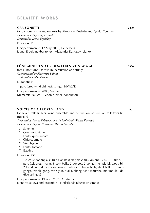#### **canzonetti 2000**

for baritone and piano on texts by Alexander Pushkin and Fyodor Tyuchev *Commissioned by Vevey Festival Dedicated to Lionel Erpelding*

Duration: 9'

First performance: 12 May 2000, Heidelberg Lionel Erpelding (baritone) – Alexander Raskatov (piano)

#### **fünf minuten aus dem leben von w.a.m. 2000**

(not a 'not-turno') for violin, percussion and strings *Commissioned by Kremerata Baltica Dedicated to Gidon Kremer* Duration: 5'

perc (crot, wind chimes). strings (3/0/4/2/1)

First performance: 2000, Seville Kremerata Baltica – Gidon Kremer (conductor)

#### **voices of a frozen land 2001**

for seven folk singers, wind ensemble and percussion on Russian folk texts (in Russian)

*Dedicated to Dmitri Pokrovsky and the Nederlands Blazers Ensemble Commissioned by the Nederlands Blazers Ensemble*

- *1*. Solenne
- *2*. Con molto ritmo
- *3*. Lento, quasi rubato
- *4*. Chiaro, ampio
- *5*. Vivo leggiero
- *6*. Lento, lontano
- *7*. Estatico

Duration: 25'

1(picc).2(cor anglais).4(*Eb* clar, bass clar, db clar).2(db bn) – 2.0.1.0 – timp. 3 perc (tgl, crot, 4 cym, 3 cow bells, 2 bongos, 2 congas, temple bl, wood bl, 2 tom-t, side dr, tenor dr, swanee whistle, tubular bells, steel bell, 3 Chines gongs, temple gong, byan-yun, quika, chang, vibr, marimba, marimbula). db (five-stringed)

First performance: 19 April 2001, Amsterdam Elena Vassilieva and Ensemble – Nederlands Blazers Ensemble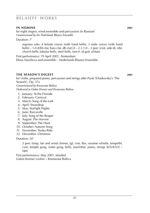#### **in nomine 2001**

for eight singers, wind ensemble and percussion (in Russian) *Commissioned by the Nederlands Blazers Ensemble*

Duration: 7'

soprano solo. 4 female voices (with hand bells). 3 male voices (with hand bells) – 1.0.4(*Eb* clar, bass clar, db clar).0 – 2.1.1.0 – 3 perc (crot, side dr, vibr, church bells, tubular bells, steel bells, tam-t). el.guit. el.bass

First performance: 19 April 2001, Amsterdam Elena Vassilieva and ensemble – Nederlands Blazers Ensemble

#### **the season's digest 2001**

for violin, prepared piano, percussion and strings after Pyotr Tchaikovsky's 'The Seasons', Op. 37a *Commissioned by Kremerata Baltica Dedicated to Gidon Kremer and Kremerata Baltica*

- *1*. January: At the Fireside
- *2*. February: Carnival
- *3*. March: Song of the Lark
- *4*. April: Snowdrop
- *5*. May: Starlight Nights
- *6*. June: Barcarolle
- *7*. July: Song of the Reaper
- *8*. August: The Harvest
- *9*. September: The Hunt
- *10*. October: Autumn Song
- *11*. November: Troika Ride
- *12*. December: Christmas

Duration: 20'

2 perc (timp, fan and wind chimes, tgl, crot, flex, swanne whistle, tempelbl, cym, temple gong, water gong, bells, marimba), piano, strings (6/5/4/3/2) – tape

First performance: May 2001, Istanbul Gidon Kremer (violin) – Kremerata Baltica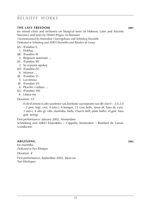#### **the last freedom 2001**

for mixed choir and orchestra on liturgical texts (in Hebrew, Latin and Ancient Slavonic) and texts by Dmitri Prigov (in Russian) *Cocommissioned by Amsterdam Concertgebouw and Schönberg Ensemble Dedicated to Schönberg and ASKO Ensembles and Reinbert de Leeuw*

- §A. (Funebre I)
- *1*. Elokhaj ...
- §B. (Funebre II)
- *2*. Requiem aeternam ...
- §C. (Funebre III)
- *3*. So svjaymi upokoj
- §D. (Funebre IV)
- *4*. Mizmor ...
- §E. (Funebre V)
- *5*. Lacrimosa
- §F. (Funebre VI)
- *6*. Pkachu i rydayu ...
- §G. (Funebre VII)
- *6*. Libera me

Duration: 33'

0.ob d'amore.0.alto sax/tenor sax.baritone sax/soprano sax.db clar.0 – 2.0.2.0 – 2 perc (trgl, crot, 4 tom-t, 4 bongos, 12 cow bells, tenor dr, bass dr, cym, 3 tam-t, 4 alm gl, vibr, marimba, bells, church bell, plate bells). el.guit. bass guit. strings

First performance: January 2002, Amsterdam Schönberg and ASKO Ensembles – Cappella Amsterdam – Reinbert de Leeuw (conductor)

#### **abgesang 2002**

for marimba *Dedicated to Yuri Kholopov* Duration: 4'

First performance: September 2002, Moscow Yuri Kholopov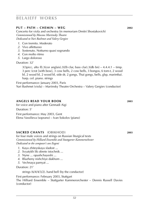#### **Put – Path – chemin – weg 2002**

Concerto for viola and orchestra (in memoriam Dmitri Shostakovich) *Commissioned by Moscow Mariinsky Theatre Dedicated to Yuri Bashmet and Valery Gergiev*

- *1*. Con tremito. Moderato
- *2*. Vivo affettuoso
- *3*. Sostenuto. Notturno quasi sognando
- *4*. Con molto ritmo
- *5*. Largo doloroso

Duration: 32'

3(3picc, alto fl).3(cor anglais).3(*Eb* clar, bass clar).3(db bn) – 4.4.4.1 – timp. 3 perc (crot [with bow], 3 cow bells, 2 cow bells, 3 bongos, 6 tom-t, 2 wood bl, 2 wood bl, 2 wood bl, side dr, 2 gongs, Thai gongs, bells, glsp, marimba). harp. cel. piano. strings

First performance: January 2003, Paris Yuri Bashmet (viola) – Mariinsky Theatre Orchestra – Valery Gergiev (conductor)

#### **Angels read your book 2003**

for voice and piano after Gennadi Aigi

Duration: 5'

First performance: May 2003, Gent Elena Vassilieva (soprano) – Ivan Sokolov (piano)

#### **sacred chants** (Obikhod) **2003**

for four male voices and strings on Russian liturgical texts *Commissioned by Hilliard Ensemble and Stuttgarter Kammerochester Dedicated to the composer's son Evgeni*

- *1*. Kaya zhiteyskaya sladost ...
- *2*. Svyatykh lik obrete istochnik ...
- *3*. Nyne ... opushchayeshi ...
- *4*. Blazheny nishchiye dukhom ...
- *5*. Vechnaya pamyat ...

#### Duration: 21'

strings (6/4/4/3/2). hand bell (by the conductor)

First performance: February 2003, Stuttgart

The Hilliard Ensemble – Stuttgarter Kammerorchester – Dennis Russell Davies (conductor)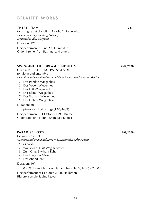#### **there** (Tam) **2004**

for string sextet (2 violins, 2 viole, 2 violoncelli) *Commissioned by Kronberg Academy Dedicated to Elsie Norgaard*

Duration: 17'

First performance: June 2004, Frankfurt Gidon Kremer, Yuri Bashmet and others

#### **swinging the dream pendulum 1998**/**2008**

(traumpendel schwingend) for violin and ensemble *Commissioned by and dedicated to Gidon Kremer and Kremerata Baltica*

- *1*. Des Pendels Wiegenlied
- *2*. Des Vogels Wiegenlied
- *3*. Der Luft Wiegenlied
- *4*. Der Blätter Wiegenlied
- *5*. Des Wassers Wiegenlied
- *6*. Des Lichtes Wiegenlied

Duration: 30'

piano. cel. hpd. strings (12/0/4/4/2)

First performance: 1 October 1999, Bremen Gidon Kremer (violin) – Kremerata Baltica

#### **paradise lost? 1999**/**2008**

for wind ensemble *Commissioned by and dedicated to Bläserensemble Sabine Meyer*

- *1*. O, Wald ...
- *2*. Wo ist der Fluss? Weg geflossen ...
- *3*. Zum Gras: Stykhara-Echo
- *4*. Die Klage der Vögel
- *5*. Das Abendlicht

Duration: 16'

 $0.2.2(2 \text{ basset}$  horns or clar and bass clar.  $3(d \text{b} \text{ bn}) - 2.0.0.0$ 

First performance: 13 March 2000, Heilbronn Bläserensemble Sabine Meyer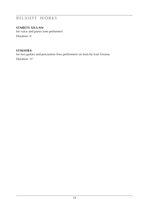**starets siluan** for voice and piano (one performer) Duration: 6'

#### **stikhira**

for two guitars and percussion (two performers) on texts by Ivan Grozny Duration: 11'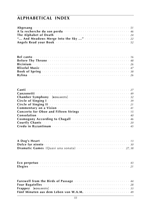### **alphabetical index**

| A la recherche du son perdu conservation de la conservation de la propondie de la propondie de la conservació                                                                                                                        |  |  |  |  |  |  |  |  |  |  |
|--------------------------------------------------------------------------------------------------------------------------------------------------------------------------------------------------------------------------------------|--|--|--|--|--|--|--|--|--|--|
| The Alphabet of Death <b>Election Contract Contract Contract Contract Contract Contract Contract Contract Contract Contract Contract Contract Contract Contract Contract Contract Contract Contract Contract Contract Contract C</b> |  |  |  |  |  |  |  |  |  |  |
|                                                                                                                                                                                                                                      |  |  |  |  |  |  |  |  |  |  |
| Angels Read your Book <b>Superior Contract Contract Contract Contract Contract Contract Contract Contract Contract Contract Contract Contract Contract Contract Contract Contract Contract Contract Contract Contract Contract C</b> |  |  |  |  |  |  |  |  |  |  |

| <b>Chamber Symphony</b> [ROSLAVETS]                                                                                                                                                                                            |
|--------------------------------------------------------------------------------------------------------------------------------------------------------------------------------------------------------------------------------|
|                                                                                                                                                                                                                                |
|                                                                                                                                                                                                                                |
| Commentary on a Vision (1999) (1999) (1999) (1999) (1999) (1999) (1999) (1999) (1999) (1999) (1999) (1999) (1999) (1999) (1999) (1999) (1999) (1999) (1999) (1999) (1999) (1999) (1999) (1999) (1999) (1999) (1999) (1999) (19 |
| Concerto for Oboe and Fifteen Strings And Allen And Allen And Allen And Allen And Allen And Allen And Allen A                                                                                                                  |
|                                                                                                                                                                                                                                |
| Cosmogony According to Chagall According the Cosmogony According to Chagall                                                                                                                                                    |
|                                                                                                                                                                                                                                |
| Credo in Byzantinum and contact the contract of the contract of the state of the state of the state of the state of the state of the state of the state of the state of the state of the state of the state of the state of th |

| A Dog's Heart <b>Election Contract Contract Contract Contract Contract Contract Contract Contract Contract Contract Contract Contract Contract Contract Contract Contract Contract Contract Contract Contract Contract Contract </b> |  |  |  |  |  |  |  |  |  |  |  |
|--------------------------------------------------------------------------------------------------------------------------------------------------------------------------------------------------------------------------------------|--|--|--|--|--|--|--|--|--|--|--|
|                                                                                                                                                                                                                                      |  |  |  |  |  |  |  |  |  |  |  |
|                                                                                                                                                                                                                                      |  |  |  |  |  |  |  |  |  |  |  |

| Eco perpetuo vertere e conserva e conserva e conserva e conserva e 43 |  |  |  |  |  |  |  |  |  |  |  |  |  |  |  |  |
|-----------------------------------------------------------------------|--|--|--|--|--|--|--|--|--|--|--|--|--|--|--|--|
|                                                                       |  |  |  |  |  |  |  |  |  |  |  |  |  |  |  |  |

| Farewell from the Birds of Passage Adventual Constitution of the 44                                                                                                                                                            |  |
|--------------------------------------------------------------------------------------------------------------------------------------------------------------------------------------------------------------------------------|--|
| Four Bagatelles expressions and contact the contract of the contract of the contract of the contract of the contract of the contract of the contract of the contract of the contract of the contract of the contract of the co |  |
|                                                                                                                                                                                                                                |  |
| Fünf Minuten aus dem Leben von W.A.M.                                                                                                                                                                                          |  |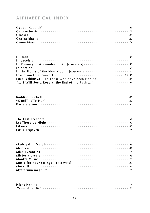## **ALPHABETICAL INDEX**

| Green Mass entertainment and the contract of the contract of the contract of the contract of the contract of the contract of the contract of the contract of the contract of the contract of the contract of the contract of t |  |  |  |  |  |  |  |  |  |  |  |  |  |  |  |  |  |
|--------------------------------------------------------------------------------------------------------------------------------------------------------------------------------------------------------------------------------|--|--|--|--|--|--|--|--|--|--|--|--|--|--|--|--|--|

| In Memory of Alexander Blok [ROSLAVETS] And Alexander 23 and Memory of Alexander Blok [ROSLAVETS] |  |  |  |  |
|---------------------------------------------------------------------------------------------------|--|--|--|--|
|                                                                                                   |  |  |  |  |
|                                                                                                   |  |  |  |  |
| Invitation to a Concert <b>Exetence Concernation</b> 28, 38                                       |  |  |  |  |
|                                                                                                   |  |  |  |  |
| " I Will See a Rose at the End of the Path "                                                      |  |  |  |  |

| Kyrie eleison werden die die staat verschieden verwendet verwendet zu einen der alle eine staat die staat verwendet verwendet verwendet verwendet verwendet verwendet verwendet verwendet verwendet verwendet verwendet verwen |  |  |  |  |  |  |  |  |  |  |  |  |  |  |  |  |
|--------------------------------------------------------------------------------------------------------------------------------------------------------------------------------------------------------------------------------|--|--|--|--|--|--|--|--|--|--|--|--|--|--|--|--|

| Litania <i>interesteral construction</i> and the set of the set of the set of the set of the set of the set of the set of the set of the set of the set of the set of the set of the set of the set of the set of the set of the se |  |  |  |  |  |  |  |  |  |  |  |  |  |  |  |
|-------------------------------------------------------------------------------------------------------------------------------------------------------------------------------------------------------------------------------------|--|--|--|--|--|--|--|--|--|--|--|--|--|--|--|
|                                                                                                                                                                                                                                     |  |  |  |  |  |  |  |  |  |  |  |  |  |  |  |

| Madrigal in Metal expressions are served to the contract the served of the Metal extension of the Madrid School                                                                                                                      |  |
|--------------------------------------------------------------------------------------------------------------------------------------------------------------------------------------------------------------------------------------|--|
|                                                                                                                                                                                                                                      |  |
| Miss Byzantina $\cdots$ and $\cdots$ is a set of the set of the set of the set of the set of the set of the set of the set of the set of the set of the set of the set of the set of the set of the set of the set of the set of th  |  |
|                                                                                                                                                                                                                                      |  |
|                                                                                                                                                                                                                                      |  |
|                                                                                                                                                                                                                                      |  |
|                                                                                                                                                                                                                                      |  |
| Mysterium magnum <b>System Contract Contract Contract Contract Contract Contract Contract Contract Contract Contract Contract Contract Contract Contract Contract Contract Contract Contract Contract Contract Contract Contract</b> |  |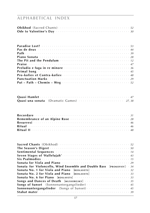## **alphabetical index**

| Pas de deux conservations entre conservation and the conservation of the Pas de deux conservation and the conservation of the conservation of the conservation of the conservation of the conservation of the conservation of |  |  |  |  |  |  |  |  |  |  |  |  |  |
|-------------------------------------------------------------------------------------------------------------------------------------------------------------------------------------------------------------------------------|--|--|--|--|--|--|--|--|--|--|--|--|--|
|                                                                                                                                                                                                                               |  |  |  |  |  |  |  |  |  |  |  |  |  |
|                                                                                                                                                                                                                               |  |  |  |  |  |  |  |  |  |  |  |  |  |
| <b>The Pit and the Pendulum</b> express conservative conservative of the 12                                                                                                                                                   |  |  |  |  |  |  |  |  |  |  |  |  |  |
|                                                                                                                                                                                                                               |  |  |  |  |  |  |  |  |  |  |  |  |  |
| Preludio e fuga in re minore contra contra contra contra e 136                                                                                                                                                                |  |  |  |  |  |  |  |  |  |  |  |  |  |
|                                                                                                                                                                                                                               |  |  |  |  |  |  |  |  |  |  |  |  |  |
| <b>Pro-kofiev et Contra-kofiev</b> contraction of the contract the contract of the <i>A8</i>                                                                                                                                  |  |  |  |  |  |  |  |  |  |  |  |  |  |
|                                                                                                                                                                                                                               |  |  |  |  |  |  |  |  |  |  |  |  |  |
| Put – Path – Chemin – Weg et al. (2003) $52$                                                                                                                                                                                  |  |  |  |  |  |  |  |  |  |  |  |  |  |

| Remembrance of an Alpine Rose <b>contract the Contract of Alpine Rose</b> contract the contract of 28 |  |  |  |  |  |  |  |  |  |  |  |  |  |  |  |
|-------------------------------------------------------------------------------------------------------|--|--|--|--|--|--|--|--|--|--|--|--|--|--|--|
|                                                                                                       |  |  |  |  |  |  |  |  |  |  |  |  |  |  |  |
|                                                                                                       |  |  |  |  |  |  |  |  |  |  |  |  |  |  |  |
|                                                                                                       |  |  |  |  |  |  |  |  |  |  |  |  |  |  |  |

| <b>The Season's Digest</b> environment is a series of the season's <b>SO</b>                                   |
|----------------------------------------------------------------------------------------------------------------|
|                                                                                                                |
| Seven Stages of 'Hallelujah' etterministerational contract the stage of 'Hallelujah' etterministeration of the |
|                                                                                                                |
|                                                                                                                |
| Sonata for Violoncello, Wind Ensemble and Double Bass [PROKOFIEV] 34                                           |
|                                                                                                                |
|                                                                                                                |
| Sonata No. 2 for Viola and Piano [ROSLAVETS] And All Andrew State Mo. 23                                       |
|                                                                                                                |
|                                                                                                                |
| Songs of Sunset (Sonnenuntergangslieder)  45                                                                   |
| Sonnenuntergangslieder (Songs of Sunset)  45                                                                   |